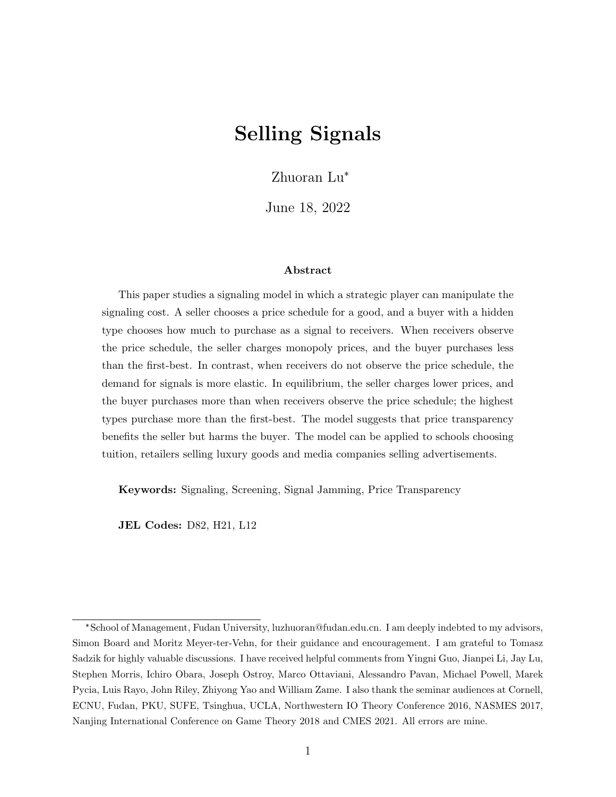# Selling Signals

Zhuoran Lu\*

June 18, 2022

#### Abstract

This paper studies a signaling model in which a strategic player can manipulate the signaling cost. A seller chooses a price schedule for a good, and a buyer with a hidden type chooses how much to purchase as a signal to receivers. When receivers observe the price schedule, the seller charges monopoly prices, and the buyer purchases less than the first-best. In contrast, when receivers do not observe the price schedule, the demand for signals is more elastic. In equilibrium, the seller charges lower prices, and the buyer purchases more than when receivers observe the price schedule; the highest types purchase more than the first-best. The model suggests that price transparency benefits the seller but harms the buyer. The model can be applied to schools choosing tuition, retailers selling luxury goods and media companies selling advertisements.

Keywords: Signaling, Screening, Signal Jamming, Price Transparency

JEL Codes: D82, H21, L12

<sup>\*</sup>School of Management, Fudan University, luzhuoran@fudan.edu.cn. I am deeply indebted to my advisors, Simon Board and Moritz Meyer-ter-Vehn, for their guidance and encouragement. I am grateful to Tomasz Sadzik for highly valuable discussions. I have received helpful comments from Yingni Guo, Jianpei Li, Jay Lu, Stephen Morris, Ichiro Obara, Joseph Ostroy, Marco Ottaviani, Alessandro Pavan, Michael Powell, Marek Pycia, Luis Rayo, John Riley, Zhiyong Yao and William Zame. I also thank the seminar audiences at Cornell, ECNU, Fudan, PKU, SUFE, Tsinghua, UCLA, Northwestern IO Theory Conference 2016, NASMES 2017, Nanjing International Conference on Game Theory 2018 and CMES 2021. All errors are mine.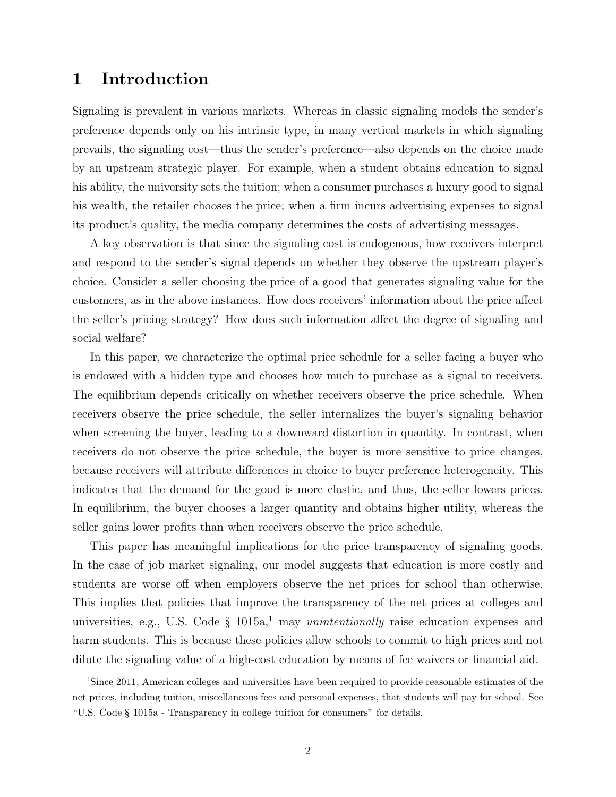## 1 Introduction

Signaling is prevalent in various markets. Whereas in classic signaling models the sender's preference depends only on his intrinsic type, in many vertical markets in which signaling prevails, the signaling cost—thus the sender's preference—also depends on the choice made by an upstream strategic player. For example, when a student obtains education to signal his ability, the university sets the tuition; when a consumer purchases a luxury good to signal his wealth, the retailer chooses the price; when a firm incurs advertising expenses to signal its product's quality, the media company determines the costs of advertising messages.

A key observation is that since the signaling cost is endogenous, how receivers interpret and respond to the sender's signal depends on whether they observe the upstream player's choice. Consider a seller choosing the price of a good that generates signaling value for the customers, as in the above instances. How does receivers' information about the price affect the seller's pricing strategy? How does such information affect the degree of signaling and social welfare?

In this paper, we characterize the optimal price schedule for a seller facing a buyer who is endowed with a hidden type and chooses how much to purchase as a signal to receivers. The equilibrium depends critically on whether receivers observe the price schedule. When receivers observe the price schedule, the seller internalizes the buyer's signaling behavior when screening the buyer, leading to a downward distortion in quantity. In contrast, when receivers do not observe the price schedule, the buyer is more sensitive to price changes, because receivers will attribute differences in choice to buyer preference heterogeneity. This indicates that the demand for the good is more elastic, and thus, the seller lowers prices. In equilibrium, the buyer chooses a larger quantity and obtains higher utility, whereas the seller gains lower profits than when receivers observe the price schedule.

This paper has meaningful implications for the price transparency of signaling goods. In the case of job market signaling, our model suggests that education is more costly and students are worse off when employers observe the net prices for school than otherwise. This implies that policies that improve the transparency of the net prices at colleges and universities, e.g., U.S. Code § 1015a,<sup>1</sup> may *unintentionally* raise education expenses and harm students. This is because these policies allow schools to commit to high prices and not dilute the signaling value of a high-cost education by means of fee waivers or financial aid.

<sup>&</sup>lt;sup>1</sup>Since 2011, American colleges and universities have been required to provide reasonable estimates of the net prices, including tuition, miscellaneous fees and personal expenses, that students will pay for school. See "U.S. Code § 1015a - Transparency in college tuition for consumers" for details.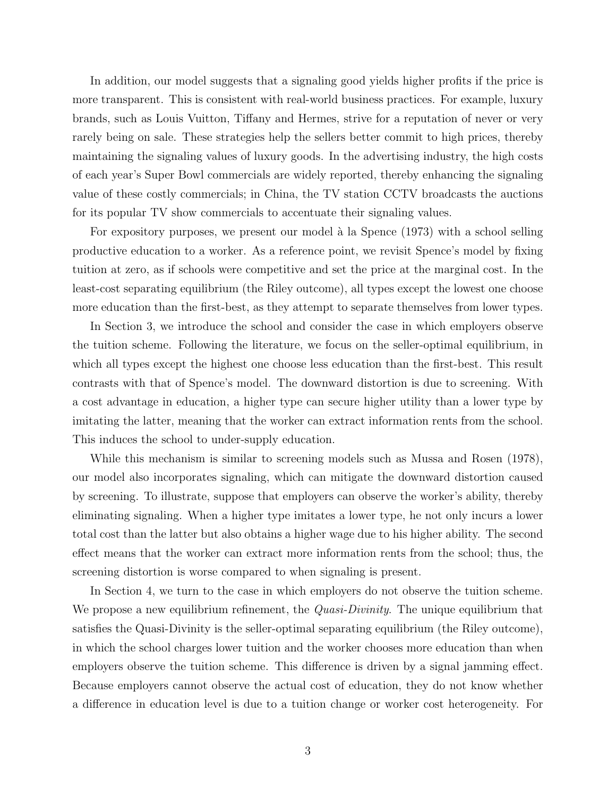In addition, our model suggests that a signaling good yields higher profits if the price is more transparent. This is consistent with real-world business practices. For example, luxury brands, such as Louis Vuitton, Tiffany and Hermes, strive for a reputation of never or very rarely being on sale. These strategies help the sellers better commit to high prices, thereby maintaining the signaling values of luxury goods. In the advertising industry, the high costs of each year's Super Bowl commercials are widely reported, thereby enhancing the signaling value of these costly commercials; in China, the TV station CCTV broadcasts the auctions for its popular TV show commercials to accentuate their signaling values.

For expository purposes, we present our model à la Spence (1973) with a school selling productive education to a worker. As a reference point, we revisit Spence's model by fixing tuition at zero, as if schools were competitive and set the price at the marginal cost. In the least-cost separating equilibrium (the Riley outcome), all types except the lowest one choose more education than the first-best, as they attempt to separate themselves from lower types.

In Section 3, we introduce the school and consider the case in which employers observe the tuition scheme. Following the literature, we focus on the seller-optimal equilibrium, in which all types except the highest one choose less education than the first-best. This result contrasts with that of Spence's model. The downward distortion is due to screening. With a cost advantage in education, a higher type can secure higher utility than a lower type by imitating the latter, meaning that the worker can extract information rents from the school. This induces the school to under-supply education.

While this mechanism is similar to screening models such as Mussa and Rosen (1978), our model also incorporates signaling, which can mitigate the downward distortion caused by screening. To illustrate, suppose that employers can observe the worker's ability, thereby eliminating signaling. When a higher type imitates a lower type, he not only incurs a lower total cost than the latter but also obtains a higher wage due to his higher ability. The second effect means that the worker can extract more information rents from the school; thus, the screening distortion is worse compared to when signaling is present.

In Section 4, we turn to the case in which employers do not observe the tuition scheme. We propose a new equilibrium refinement, the *Quasi-Divinity*. The unique equilibrium that satisfies the Quasi-Divinity is the seller-optimal separating equilibrium (the Riley outcome), in which the school charges lower tuition and the worker chooses more education than when employers observe the tuition scheme. This difference is driven by a signal jamming effect. Because employers cannot observe the actual cost of education, they do not know whether a difference in education level is due to a tuition change or worker cost heterogeneity. For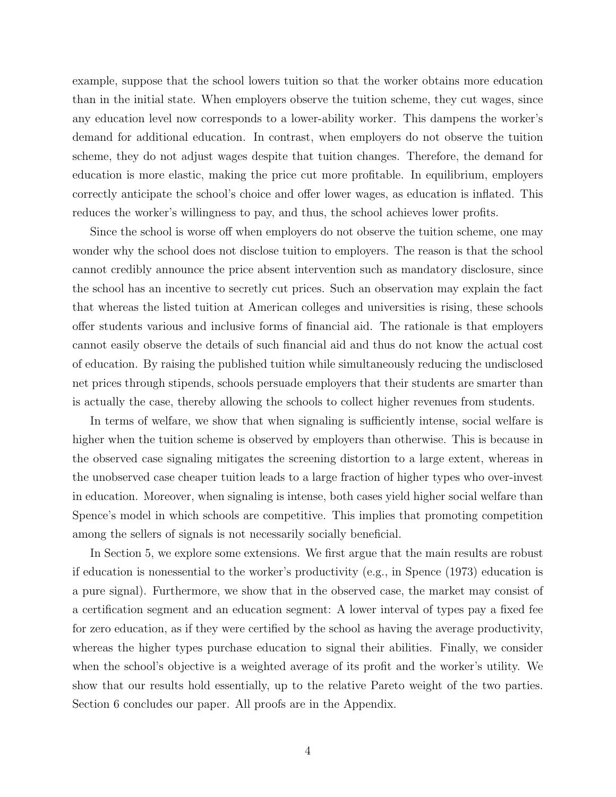example, suppose that the school lowers tuition so that the worker obtains more education than in the initial state. When employers observe the tuition scheme, they cut wages, since any education level now corresponds to a lower-ability worker. This dampens the worker's demand for additional education. In contrast, when employers do not observe the tuition scheme, they do not adjust wages despite that tuition changes. Therefore, the demand for education is more elastic, making the price cut more profitable. In equilibrium, employers correctly anticipate the school's choice and offer lower wages, as education is inflated. This reduces the worker's willingness to pay, and thus, the school achieves lower profits.

Since the school is worse off when employers do not observe the tuition scheme, one may wonder why the school does not disclose tuition to employers. The reason is that the school cannot credibly announce the price absent intervention such as mandatory disclosure, since the school has an incentive to secretly cut prices. Such an observation may explain the fact that whereas the listed tuition at American colleges and universities is rising, these schools offer students various and inclusive forms of financial aid. The rationale is that employers cannot easily observe the details of such financial aid and thus do not know the actual cost of education. By raising the published tuition while simultaneously reducing the undisclosed net prices through stipends, schools persuade employers that their students are smarter than is actually the case, thereby allowing the schools to collect higher revenues from students.

In terms of welfare, we show that when signaling is sufficiently intense, social welfare is higher when the tuition scheme is observed by employers than otherwise. This is because in the observed case signaling mitigates the screening distortion to a large extent, whereas in the unobserved case cheaper tuition leads to a large fraction of higher types who over-invest in education. Moreover, when signaling is intense, both cases yield higher social welfare than Spence's model in which schools are competitive. This implies that promoting competition among the sellers of signals is not necessarily socially beneficial.

In Section 5, we explore some extensions. We first argue that the main results are robust if education is nonessential to the worker's productivity (e.g., in Spence (1973) education is a pure signal). Furthermore, we show that in the observed case, the market may consist of a certification segment and an education segment: A lower interval of types pay a fixed fee for zero education, as if they were certified by the school as having the average productivity, whereas the higher types purchase education to signal their abilities. Finally, we consider when the school's objective is a weighted average of its profit and the worker's utility. We show that our results hold essentially, up to the relative Pareto weight of the two parties. Section 6 concludes our paper. All proofs are in the Appendix.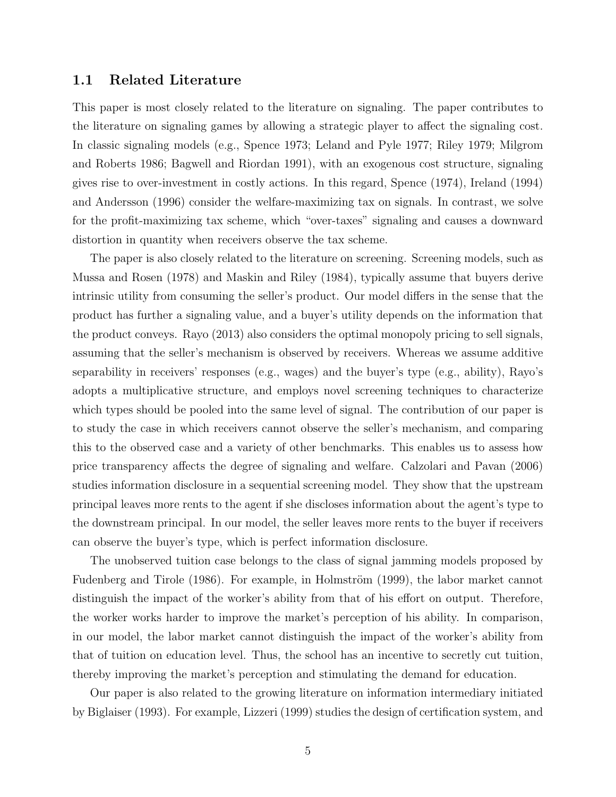#### 1.1 Related Literature

This paper is most closely related to the literature on signaling. The paper contributes to the literature on signaling games by allowing a strategic player to affect the signaling cost. In classic signaling models (e.g., Spence 1973; Leland and Pyle 1977; Riley 1979; Milgrom and Roberts 1986; Bagwell and Riordan 1991), with an exogenous cost structure, signaling gives rise to over-investment in costly actions. In this regard, Spence (1974), Ireland (1994) and Andersson (1996) consider the welfare-maximizing tax on signals. In contrast, we solve for the profit-maximizing tax scheme, which "over-taxes" signaling and causes a downward distortion in quantity when receivers observe the tax scheme.

The paper is also closely related to the literature on screening. Screening models, such as Mussa and Rosen (1978) and Maskin and Riley (1984), typically assume that buyers derive intrinsic utility from consuming the seller's product. Our model differs in the sense that the product has further a signaling value, and a buyer's utility depends on the information that the product conveys. Rayo (2013) also considers the optimal monopoly pricing to sell signals, assuming that the seller's mechanism is observed by receivers. Whereas we assume additive separability in receivers' responses (e.g., wages) and the buyer's type (e.g., ability), Rayo's adopts a multiplicative structure, and employs novel screening techniques to characterize which types should be pooled into the same level of signal. The contribution of our paper is to study the case in which receivers cannot observe the seller's mechanism, and comparing this to the observed case and a variety of other benchmarks. This enables us to assess how price transparency affects the degree of signaling and welfare. Calzolari and Pavan (2006) studies information disclosure in a sequential screening model. They show that the upstream principal leaves more rents to the agent if she discloses information about the agent's type to the downstream principal. In our model, the seller leaves more rents to the buyer if receivers can observe the buyer's type, which is perfect information disclosure.

The unobserved tuition case belongs to the class of signal jamming models proposed by Fudenberg and Tirole (1986). For example, in Holmström (1999), the labor market cannot distinguish the impact of the worker's ability from that of his effort on output. Therefore, the worker works harder to improve the market's perception of his ability. In comparison, in our model, the labor market cannot distinguish the impact of the worker's ability from that of tuition on education level. Thus, the school has an incentive to secretly cut tuition, thereby improving the market's perception and stimulating the demand for education.

Our paper is also related to the growing literature on information intermediary initiated by Biglaiser (1993). For example, Lizzeri (1999) studies the design of certification system, and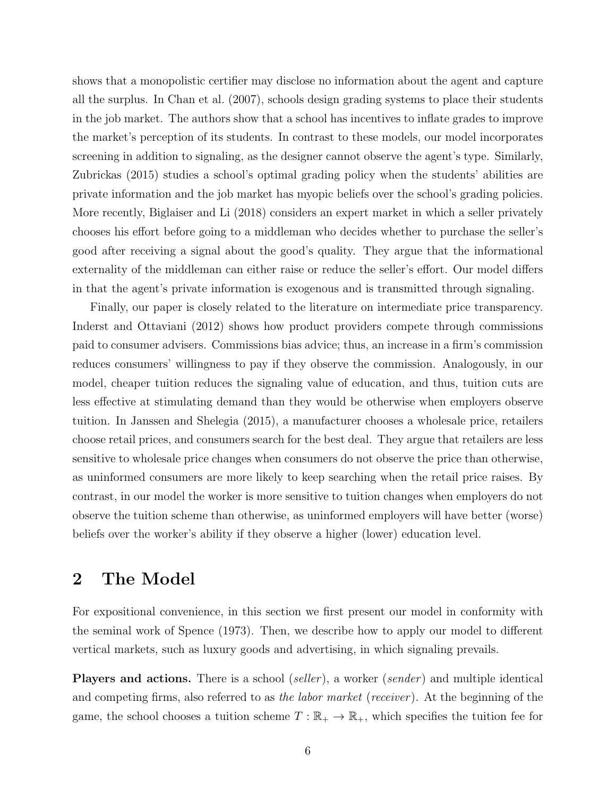shows that a monopolistic certifier may disclose no information about the agent and capture all the surplus. In Chan et al. (2007), schools design grading systems to place their students in the job market. The authors show that a school has incentives to inflate grades to improve the market's perception of its students. In contrast to these models, our model incorporates screening in addition to signaling, as the designer cannot observe the agent's type. Similarly, Zubrickas (2015) studies a school's optimal grading policy when the students' abilities are private information and the job market has myopic beliefs over the school's grading policies. More recently, Biglaiser and Li (2018) considers an expert market in which a seller privately chooses his effort before going to a middleman who decides whether to purchase the seller's good after receiving a signal about the good's quality. They argue that the informational externality of the middleman can either raise or reduce the seller's effort. Our model differs in that the agent's private information is exogenous and is transmitted through signaling.

Finally, our paper is closely related to the literature on intermediate price transparency. Inderst and Ottaviani (2012) shows how product providers compete through commissions paid to consumer advisers. Commissions bias advice; thus, an increase in a firm's commission reduces consumers' willingness to pay if they observe the commission. Analogously, in our model, cheaper tuition reduces the signaling value of education, and thus, tuition cuts are less effective at stimulating demand than they would be otherwise when employers observe tuition. In Janssen and Shelegia (2015), a manufacturer chooses a wholesale price, retailers choose retail prices, and consumers search for the best deal. They argue that retailers are less sensitive to wholesale price changes when consumers do not observe the price than otherwise, as uninformed consumers are more likely to keep searching when the retail price raises. By contrast, in our model the worker is more sensitive to tuition changes when employers do not observe the tuition scheme than otherwise, as uninformed employers will have better (worse) beliefs over the worker's ability if they observe a higher (lower) education level.

## 2 The Model

For expositional convenience, in this section we first present our model in conformity with the seminal work of Spence (1973). Then, we describe how to apply our model to different vertical markets, such as luxury goods and advertising, in which signaling prevails.

Players and actions. There is a school *(seller)*, a worker *(sender)* and multiple identical and competing firms, also referred to as the labor market (receiver). At the beginning of the game, the school chooses a tuition scheme  $T : \mathbb{R}_+ \to \mathbb{R}_+$ , which specifies the tuition fee for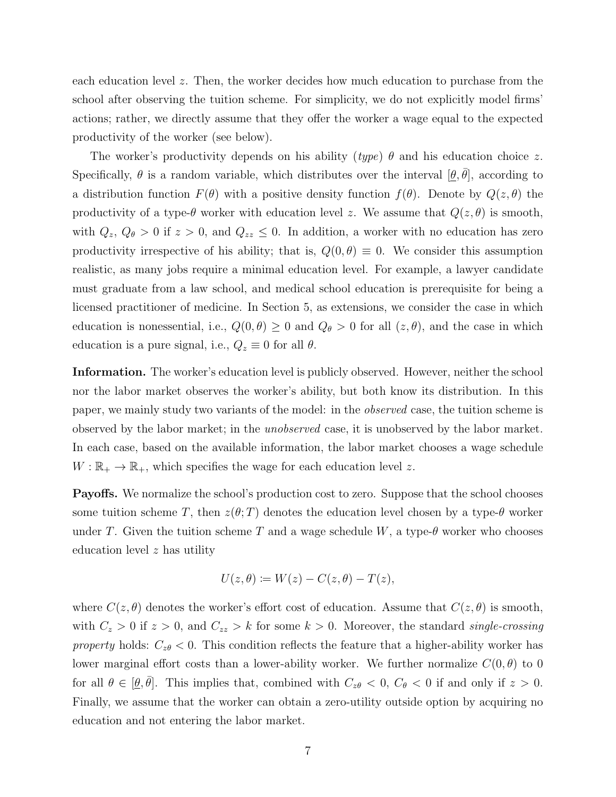each education level z. Then, the worker decides how much education to purchase from the school after observing the tuition scheme. For simplicity, we do not explicitly model firms' actions; rather, we directly assume that they offer the worker a wage equal to the expected productivity of the worker (see below).

The worker's productivity depends on his ability (type)  $\theta$  and his education choice z. Specifically,  $\theta$  is a random variable, which distributes over the interval  $[\theta, \bar{\theta}]$ , according to a distribution function  $F(\theta)$  with a positive density function  $f(\theta)$ . Denote by  $Q(z, \theta)$  the productivity of a type- $\theta$  worker with education level z. We assume that  $Q(z, \theta)$  is smooth, with  $Q_z$ ,  $Q_\theta > 0$  if  $z > 0$ , and  $Q_{zz} \leq 0$ . In addition, a worker with no education has zero productivity irrespective of his ability; that is,  $Q(0, \theta) \equiv 0$ . We consider this assumption realistic, as many jobs require a minimal education level. For example, a lawyer candidate must graduate from a law school, and medical school education is prerequisite for being a licensed practitioner of medicine. In Section 5, as extensions, we consider the case in which education is nonessential, i.e.,  $Q(0, \theta) \geq 0$  and  $Q_{\theta} > 0$  for all  $(z, \theta)$ , and the case in which education is a pure signal, i.e.,  $Q_z \equiv 0$  for all  $\theta$ .

Information. The worker's education level is publicly observed. However, neither the school nor the labor market observes the worker's ability, but both know its distribution. In this paper, we mainly study two variants of the model: in the observed case, the tuition scheme is observed by the labor market; in the unobserved case, it is unobserved by the labor market. In each case, based on the available information, the labor market chooses a wage schedule  $W: \mathbb{R}_+ \to \mathbb{R}_+$ , which specifies the wage for each education level z.

Payoffs. We normalize the school's production cost to zero. Suppose that the school chooses some tuition scheme T, then  $z(\theta;T)$  denotes the education level chosen by a type- $\theta$  worker under T. Given the tuition scheme T and a wage schedule W, a type- $\theta$  worker who chooses education level z has utility

$$
U(z,\theta) := W(z) - C(z,\theta) - T(z),
$$

where  $C(z, \theta)$  denotes the worker's effort cost of education. Assume that  $C(z, \theta)$  is smooth, with  $C_z > 0$  if  $z > 0$ , and  $C_{zz} > k$  for some  $k > 0$ . Moreover, the standard single-crossing property holds:  $C_{z\theta} < 0$ . This condition reflects the feature that a higher-ability worker has lower marginal effort costs than a lower-ability worker. We further normalize  $C(0, \theta)$  to 0 for all  $\theta \in [\underline{\theta}, \overline{\theta}]$ . This implies that, combined with  $C_{z\theta} < 0$ ,  $C_{\theta} < 0$  if and only if  $z > 0$ . Finally, we assume that the worker can obtain a zero-utility outside option by acquiring no education and not entering the labor market.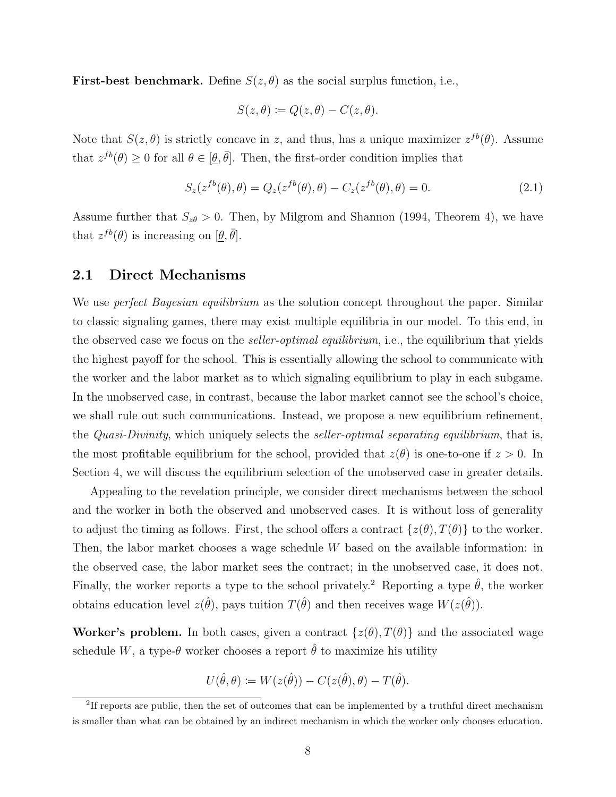**First-best benchmark.** Define  $S(z, \theta)$  as the social surplus function, i.e.,

$$
S(z, \theta) \coloneqq Q(z, \theta) - C(z, \theta).
$$

Note that  $S(z, \theta)$  is strictly concave in z, and thus, has a unique maximizer  $z^{fb}(\theta)$ . Assume that  $z^{fb}(\theta) \ge 0$  for all  $\theta \in [\theta, \bar{\theta}]$ . Then, the first-order condition implies that

$$
S_z(z^{fb}(\theta), \theta) = Q_z(z^{fb}(\theta), \theta) - C_z(z^{fb}(\theta), \theta) = 0.
$$
\n(2.1)

Assume further that  $S_{z\theta} > 0$ . Then, by Milgrom and Shannon (1994, Theorem 4), we have that  $z^{fb}(\theta)$  is increasing on  $[\underline{\theta}, \overline{\theta}]$ .

#### 2.1 Direct Mechanisms

We use *perfect Bayesian equilibrium* as the solution concept throughout the paper. Similar to classic signaling games, there may exist multiple equilibria in our model. To this end, in the observed case we focus on the *seller-optimal equilibrium*, i.e., the equilibrium that yields the highest payoff for the school. This is essentially allowing the school to communicate with the worker and the labor market as to which signaling equilibrium to play in each subgame. In the unobserved case, in contrast, because the labor market cannot see the school's choice, we shall rule out such communications. Instead, we propose a new equilibrium refinement, the *Quasi-Divinity*, which uniquely selects the *seller-optimal separating equilibrium*, that is, the most profitable equilibrium for the school, provided that  $z(\theta)$  is one-to-one if  $z > 0$ . In Section 4, we will discuss the equilibrium selection of the unobserved case in greater details.

Appealing to the revelation principle, we consider direct mechanisms between the school and the worker in both the observed and unobserved cases. It is without loss of generality to adjust the timing as follows. First, the school offers a contract  $\{z(\theta), T(\theta)\}\)$  to the worker. Then, the labor market chooses a wage schedule W based on the available information: in the observed case, the labor market sees the contract; in the unobserved case, it does not. Finally, the worker reports a type to the school privately.<sup>2</sup> Reporting a type  $\hat{\theta}$ , the worker obtains education level  $z(\hat{\theta})$ , pays tuition  $T(\hat{\theta})$  and then receives wage  $W(z(\hat{\theta}))$ .

Worker's problem. In both cases, given a contract  $\{z(\theta), T(\theta)\}\$  and the associated wage schedule W, a type- $\theta$  worker chooses a report  $\hat{\theta}$  to maximize his utility

$$
U(\hat{\theta}, \theta) := W(z(\hat{\theta})) - C(z(\hat{\theta}), \theta) - T(\hat{\theta}).
$$

<sup>&</sup>lt;sup>2</sup>If reports are public, then the set of outcomes that can be implemented by a truthful direct mechanism is smaller than what can be obtained by an indirect mechanism in which the worker only chooses education.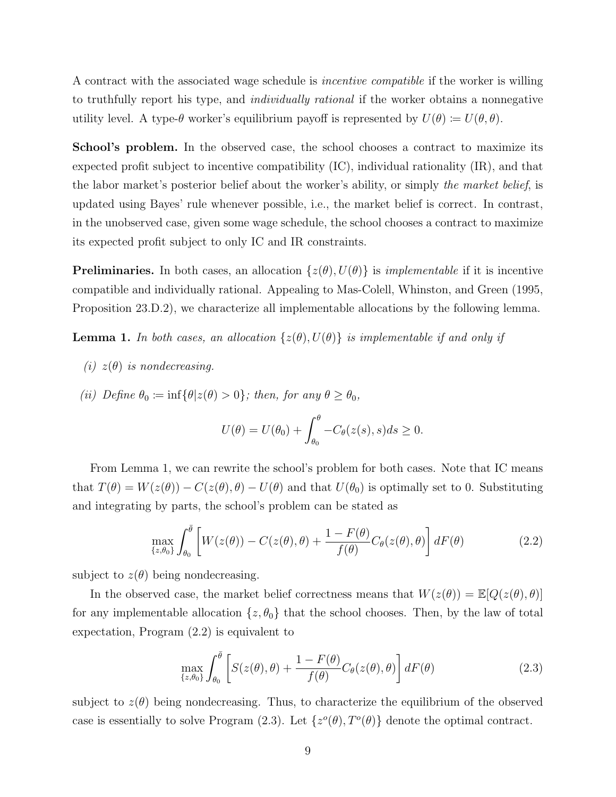A contract with the associated wage schedule is incentive compatible if the worker is willing to truthfully report his type, and individually rational if the worker obtains a nonnegative utility level. A type- $\theta$  worker's equilibrium payoff is represented by  $U(\theta) \coloneqq U(\theta, \theta)$ .

School's problem. In the observed case, the school chooses a contract to maximize its expected profit subject to incentive compatibility (IC), individual rationality (IR), and that the labor market's posterior belief about the worker's ability, or simply the market belief, is updated using Bayes' rule whenever possible, i.e., the market belief is correct. In contrast, in the unobserved case, given some wage schedule, the school chooses a contract to maximize its expected profit subject to only IC and IR constraints.

**Preliminaries.** In both cases, an allocation  $\{z(\theta), U(\theta)\}\$ is *implementable* if it is incentive compatible and individually rational. Appealing to Mas-Colell, Whinston, and Green (1995, Proposition 23.D.2), we characterize all implementable allocations by the following lemma.

**Lemma 1.** In both cases, an allocation  $\{z(\theta), U(\theta)\}\$ is implementable if and only if

- (i)  $z(\theta)$  is nondecreasing.
- (ii) Define  $\theta_0 \coloneqq \inf \{ \theta | z(\theta) > 0 \}$ ; then, for any  $\theta \ge \theta_0$ ,

$$
U(\theta) = U(\theta_0) + \int_{\theta_0}^{\theta} -C_{\theta}(z(s), s)ds \ge 0.
$$

From Lemma 1, we can rewrite the school's problem for both cases. Note that IC means that  $T(\theta) = W(z(\theta)) - C(z(\theta), \theta) - U(\theta)$  and that  $U(\theta_0)$  is optimally set to 0. Substituting and integrating by parts, the school's problem can be stated as

$$
\max_{\{z,\theta_0\}} \int_{\theta_0}^{\bar{\theta}} \left[ W(z(\theta)) - C(z(\theta), \theta) + \frac{1 - F(\theta)}{f(\theta)} C_{\theta}(z(\theta), \theta) \right] dF(\theta) \tag{2.2}
$$

subject to  $z(\theta)$  being nondecreasing.

In the observed case, the market belief correctness means that  $W(z(\theta)) = \mathbb{E}[Q(z(\theta), \theta)]$ for any implementable allocation  $\{z, \theta_0\}$  that the school chooses. Then, by the law of total expectation, Program (2.2) is equivalent to

$$
\max_{\{z,\theta_0\}} \int_{\theta_0}^{\bar{\theta}} \left[ S(z(\theta),\theta) + \frac{1 - F(\theta)}{f(\theta)} C_{\theta}(z(\theta),\theta) \right] dF(\theta) \tag{2.3}
$$

subject to  $z(\theta)$  being nondecreasing. Thus, to characterize the equilibrium of the observed case is essentially to solve Program (2.3). Let  $\{z^o(\theta), T^o(\theta)\}\$  denote the optimal contract.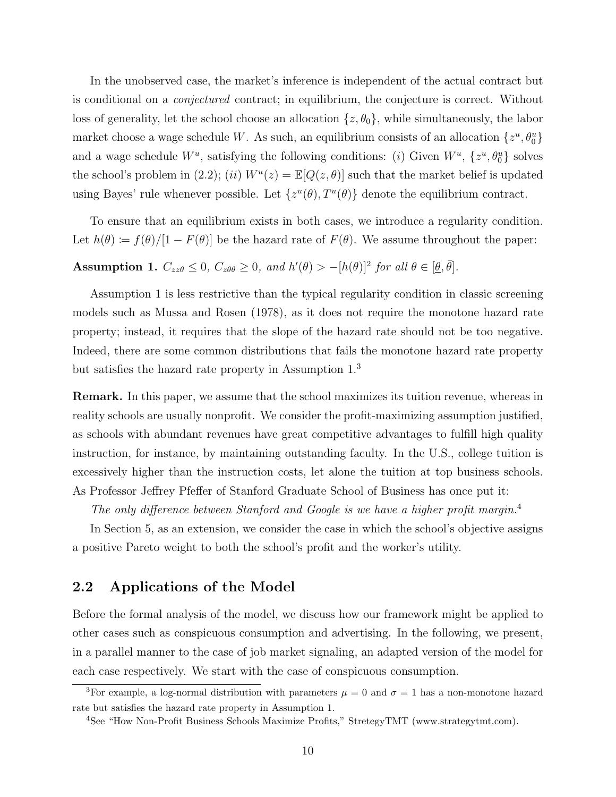In the unobserved case, the market's inference is independent of the actual contract but is conditional on a conjectured contract; in equilibrium, the conjecture is correct. Without loss of generality, let the school choose an allocation  $\{z, \theta_0\}$ , while simultaneously, the labor market choose a wage schedule W. As such, an equilibrium consists of an allocation  $\{z^u, \theta^u_0\}$ and a wage schedule  $W^u$ , satisfying the following conditions: (i) Given  $W^u$ ,  $\{z^u, \theta_0^u\}$  solves the school's problem in (2.2); (ii)  $W^u(z) = \mathbb{E}[Q(z, \theta)]$  such that the market belief is updated using Bayes' rule whenever possible. Let  $\{z^u(\theta), T^u(\theta)\}\$  denote the equilibrium contract.

To ensure that an equilibrium exists in both cases, we introduce a regularity condition. Let  $h(\theta) := f(\theta)/[1 - F(\theta)]$  be the hazard rate of  $F(\theta)$ . We assume throughout the paper:

**Assumption 1.**  $C_{zz\theta} \leq 0$ ,  $C_{z\theta\theta} \geq 0$ , and  $h'(\theta) > -[h(\theta)]^2$  for all  $\theta \in [\theta, \bar{\theta}]$ .

Assumption 1 is less restrictive than the typical regularity condition in classic screening models such as Mussa and Rosen (1978), as it does not require the monotone hazard rate property; instead, it requires that the slope of the hazard rate should not be too negative. Indeed, there are some common distributions that fails the monotone hazard rate property but satisfies the hazard rate property in Assumption 1.<sup>3</sup>

Remark. In this paper, we assume that the school maximizes its tuition revenue, whereas in reality schools are usually nonprofit. We consider the profit-maximizing assumption justified, as schools with abundant revenues have great competitive advantages to fulfill high quality instruction, for instance, by maintaining outstanding faculty. In the U.S., college tuition is excessively higher than the instruction costs, let alone the tuition at top business schools. As Professor Jeffrey Pfeffer of Stanford Graduate School of Business has once put it:

The only difference between Stanford and Google is we have a higher profit margin.<sup>4</sup>

In Section 5, as an extension, we consider the case in which the school's objective assigns a positive Pareto weight to both the school's profit and the worker's utility.

### 2.2 Applications of the Model

Before the formal analysis of the model, we discuss how our framework might be applied to other cases such as conspicuous consumption and advertising. In the following, we present, in a parallel manner to the case of job market signaling, an adapted version of the model for each case respectively. We start with the case of conspicuous consumption.

<sup>&</sup>lt;sup>3</sup>For example, a log-normal distribution with parameters  $\mu = 0$  and  $\sigma = 1$  has a non-monotone hazard rate but satisfies the hazard rate property in Assumption 1.

<sup>4</sup>See "How Non-Profit Business Schools Maximize Profits," StretegyTMT (www.strategytmt.com).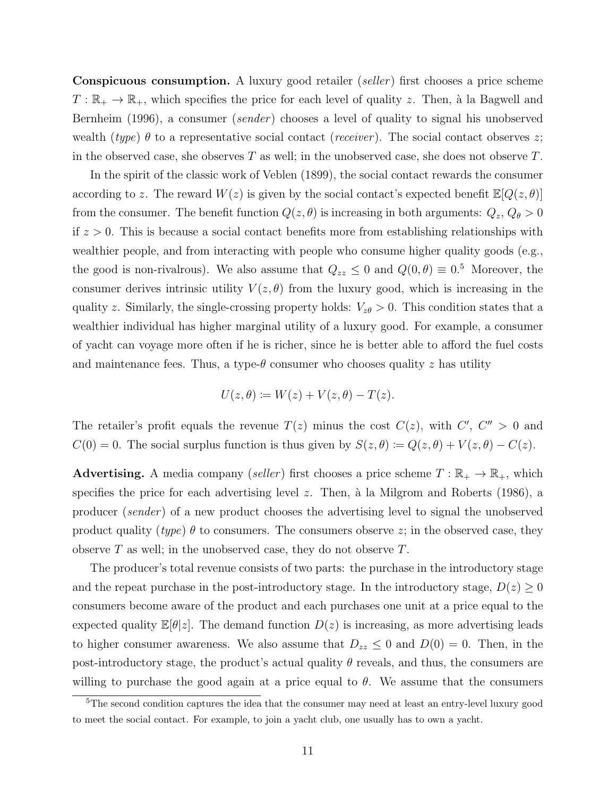**Conspicuous consumption.** A luxury good retailer (seller) first chooses a price scheme  $T: \mathbb{R}_+ \to \mathbb{R}_+$ , which specifies the price for each level of quality z. Then, à la Bagwell and Bernheim (1996), a consumer *(sender)* chooses a level of quality to signal his unobserved wealth (type)  $\theta$  to a representative social contact (receiver). The social contact observes z; in the observed case, she observes  $T$  as well; in the unobserved case, she does not observe  $T$ .

In the spirit of the classic work of Veblen (1899), the social contact rewards the consumer according to z. The reward  $W(z)$  is given by the social contact's expected benefit  $\mathbb{E}[Q(z, \theta)]$ from the consumer. The benefit function  $Q(z, \theta)$  is increasing in both arguments:  $Q_z, Q_\theta > 0$ if  $z > 0$ . This is because a social contact benefits more from establishing relationships with wealthier people, and from interacting with people who consume higher quality goods (e.g., the good is non-rivalrous). We also assume that  $Q_{zz} \leq 0$  and  $Q(0, \theta) \equiv 0.5$  Moreover, the consumer derives intrinsic utility  $V(z, \theta)$  from the luxury good, which is increasing in the quality z. Similarly, the single-crossing property holds:  $V_{z\theta} > 0$ . This condition states that a wealthier individual has higher marginal utility of a luxury good. For example, a consumer of yacht can voyage more often if he is richer, since he is better able to afford the fuel costs and maintenance fees. Thus, a type- $\theta$  consumer who chooses quality z has utility

$$
U(z, \theta) := W(z) + V(z, \theta) - T(z).
$$

The retailer's profit equals the revenue  $T(z)$  minus the cost  $C(z)$ , with  $C'$ ,  $C'' > 0$  and  $C(0) = 0$ . The social surplus function is thus given by  $S(z, \theta) \coloneqq Q(z, \theta) + V(z, \theta) - C(z)$ .

**Advertising.** A media company (seller) first chooses a price scheme  $T : \mathbb{R}_+ \to \mathbb{R}_+$ , which specifies the price for each advertising level  $z$ . Then, à la Milgrom and Roberts (1986), a producer (sender ) of a new product chooses the advertising level to signal the unobserved product quality (type)  $\theta$  to consumers. The consumers observe z; in the observed case, they observe  $T$  as well; in the unobserved case, they do not observe  $T$ .

The producer's total revenue consists of two parts: the purchase in the introductory stage and the repeat purchase in the post-introductory stage. In the introductory stage,  $D(z) \geq 0$ consumers become aware of the product and each purchases one unit at a price equal to the expected quality  $\mathbb{E}[\theta]z$ . The demand function  $D(z)$  is increasing, as more advertising leads to higher consumer awareness. We also assume that  $D_{zz} \leq 0$  and  $D(0) = 0$ . Then, in the post-introductory stage, the product's actual quality  $\theta$  reveals, and thus, the consumers are willing to purchase the good again at a price equal to  $\theta$ . We assume that the consumers

<sup>&</sup>lt;sup>5</sup>The second condition captures the idea that the consumer may need at least an entry-level luxury good to meet the social contact. For example, to join a yacht club, one usually has to own a yacht.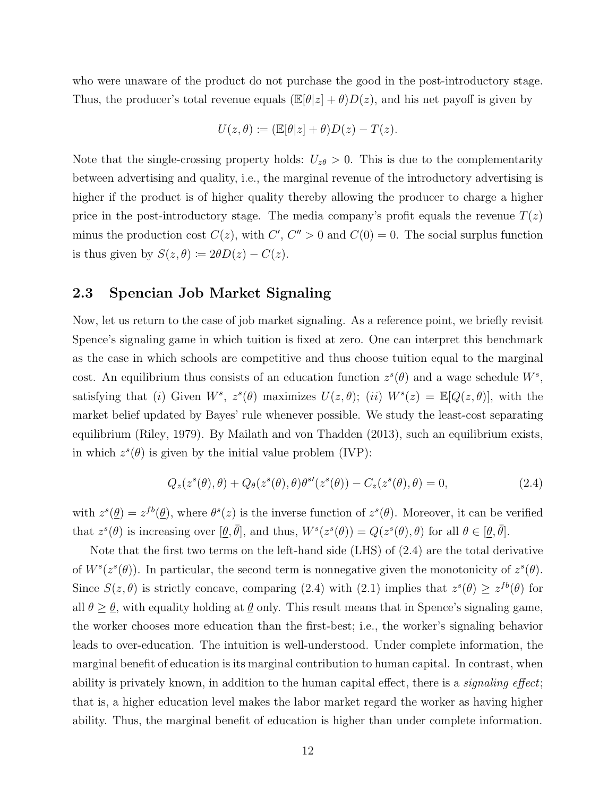who were unaware of the product do not purchase the good in the post-introductory stage. Thus, the producer's total revenue equals  $(\mathbb{E}[\theta|z] + \theta)D(z)$ , and his net payoff is given by

$$
U(z,\theta) := (\mathbb{E}[\theta|z] + \theta)D(z) - T(z).
$$

Note that the single-crossing property holds:  $U_{z\theta} > 0$ . This is due to the complementarity between advertising and quality, i.e., the marginal revenue of the introductory advertising is higher if the product is of higher quality thereby allowing the producer to charge a higher price in the post-introductory stage. The media company's profit equals the revenue  $T(z)$ minus the production cost  $C(z)$ , with  $C'$ ,  $C'' > 0$  and  $C(0) = 0$ . The social surplus function is thus given by  $S(z, \theta) \coloneqq 2\theta D(z) - C(z)$ .

### 2.3 Spencian Job Market Signaling

Now, let us return to the case of job market signaling. As a reference point, we briefly revisit Spence's signaling game in which tuition is fixed at zero. One can interpret this benchmark as the case in which schools are competitive and thus choose tuition equal to the marginal cost. An equilibrium thus consists of an education function  $z^s(\theta)$  and a wage schedule  $W^s$ , satisfying that (i) Given  $W^s$ ,  $z^s(\theta)$  maximizes  $U(z, \theta)$ ; (ii)  $W^s(z) = \mathbb{E}[Q(z, \theta)]$ , with the market belief updated by Bayes' rule whenever possible. We study the least-cost separating equilibrium (Riley, 1979). By Mailath and von Thadden (2013), such an equilibrium exists, in which  $z^s(\theta)$  is given by the initial value problem (IVP):

$$
Q_z(z^s(\theta), \theta) + Q_\theta(z^s(\theta), \theta)\theta^{s\prime}(z^s(\theta)) - C_z(z^s(\theta), \theta) = 0,
$$
\n(2.4)

with  $z^s(\underline{\theta}) = z^{fb}(\underline{\theta})$ , where  $\theta^s(z)$  is the inverse function of  $z^s(\theta)$ . Moreover, it can be verified that  $z^{s}(\theta)$  is increasing over  $[\underline{\theta}, \overline{\theta}]$ , and thus,  $W^{s}(z^{s}(\theta)) = Q(z^{s}(\theta), \theta)$  for all  $\theta \in [\underline{\theta}, \overline{\theta}]$ .

Note that the first two terms on the left-hand side (LHS) of (2.4) are the total derivative of  $W^s(z^s(\theta))$ . In particular, the second term is nonnegative given the monotonicity of  $z^s(\theta)$ . Since  $S(z, \theta)$  is strictly concave, comparing (2.4) with (2.1) implies that  $z^{s}(\theta) \geq z^{fb}(\theta)$  for all  $\theta \geq \theta$ , with equality holding at  $\theta$  only. This result means that in Spence's signaling game, the worker chooses more education than the first-best; i.e., the worker's signaling behavior leads to over-education. The intuition is well-understood. Under complete information, the marginal benefit of education is its marginal contribution to human capital. In contrast, when ability is privately known, in addition to the human capital effect, there is a *signaling effect*; that is, a higher education level makes the labor market regard the worker as having higher ability. Thus, the marginal benefit of education is higher than under complete information.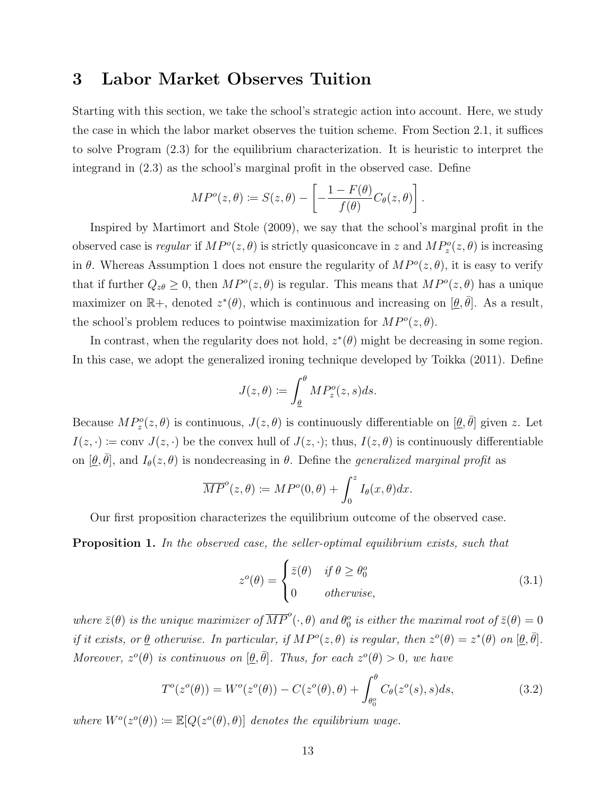## 3 Labor Market Observes Tuition

Starting with this section, we take the school's strategic action into account. Here, we study the case in which the labor market observes the tuition scheme. From Section 2.1, it suffices to solve Program (2.3) for the equilibrium characterization. It is heuristic to interpret the integrand in (2.3) as the school's marginal profit in the observed case. Define

$$
MP^o(z, \theta) \coloneqq S(z, \theta) - \left[ -\frac{1 - F(\theta)}{f(\theta)} C_{\theta}(z, \theta) \right].
$$

Inspired by Martimort and Stole (2009), we say that the school's marginal profit in the observed case is *regular* if  $MP^o(z, \theta)$  is strictly quasiconcave in z and  $MP_z^o(z, \theta)$  is increasing in  $\theta$ . Whereas Assumption 1 does not ensure the regularity of  $MP^o(z, \theta)$ , it is easy to verify that if further  $Q_{z\theta} \geq 0$ , then  $MP^o(z, \theta)$  is regular. This means that  $MP^o(z, \theta)$  has a unique maximizer on  $\mathbb{R}^+$ , denoted  $z^*(\theta)$ , which is continuous and increasing on  $[\underline{\theta}, \overline{\theta}]$ . As a result, the school's problem reduces to pointwise maximization for  $MP^o(z, \theta)$ .

In contrast, when the regularity does not hold,  $z^*(\theta)$  might be decreasing in some region. In this case, we adopt the generalized ironing technique developed by Toikka (2011). Define

$$
J(z,\theta) \coloneqq \int_{\underline{\theta}}^{\theta} M P_z^o(z,s) ds.
$$

Because  $MP_z^o(z, \theta)$  is continuous,  $J(z, \theta)$  is continuously differentiable on  $[\theta, \bar{\theta}]$  given z. Let  $I(z, \cdot) \coloneqq \text{conv } J(z, \cdot)$  be the convex hull of  $J(z, \cdot)$ ; thus,  $I(z, \theta)$  is continuously differentiable on  $[\underline{\theta}, \overline{\theta}]$ , and  $I_{\theta}(z, \theta)$  is nondecreasing in  $\theta$ . Define the *generalized marginal profit* as

$$
\overline{MP}^o(z,\theta) \coloneqq MP^o(0,\theta) + \int_0^z I_{\theta}(x,\theta)dx.
$$

Our first proposition characterizes the equilibrium outcome of the observed case.

**Proposition 1.** In the observed case, the seller-optimal equilibrium exists, such that

$$
z^{o}(\theta) = \begin{cases} \bar{z}(\theta) & \text{if } \theta \ge \theta_0^o \\ 0 & \text{otherwise,} \end{cases}
$$
 (3.1)

where  $\bar{z}(\theta)$  is the unique maximizer of  $\overline{MP}^o(\cdot,\theta)$  and  $\theta_0^o$  is either the maximal root of  $\bar{z}(\theta)=0$ if it exists, or  $\underline{\theta}$  otherwise. In particular, if  $MP^o(z, \theta)$  is regular, then  $z^o(\theta) = z^*(\theta)$  on  $[\underline{\theta}, \overline{\theta}]$ . Moreover,  $z^o(\theta)$  is continuous on  $[\underline{\theta}, \overline{\theta}]$ . Thus, for each  $z^o(\theta) > 0$ , we have

$$
T^{o}(z^{o}(\theta)) = W^{o}(z^{o}(\theta)) - C(z^{o}(\theta), \theta) + \int_{\theta_{0}^{o}}^{\theta} C_{\theta}(z^{o}(s), s) ds,
$$
\n(3.2)

where  $W^o(z^o(\theta)) \coloneqq \mathbb{E}[Q(z^o(\theta), \theta)]$  denotes the equilibrium wage.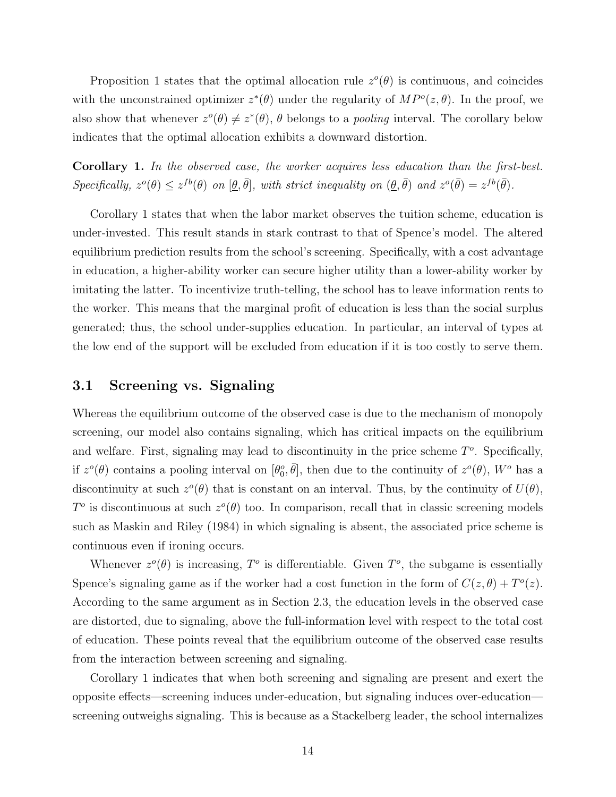Proposition 1 states that the optimal allocation rule  $z^o(\theta)$  is continuous, and coincides with the unconstrained optimizer  $z^*(\theta)$  under the regularity of  $MP^o(z, \theta)$ . In the proof, we also show that whenever  $z^{\circ}(\theta) \neq z^*(\theta)$ ,  $\theta$  belongs to a *pooling* interval. The corollary below indicates that the optimal allocation exhibits a downward distortion.

Corollary 1. In the observed case, the worker acquires less education than the first-best.  $Specifically, z^o(\theta) \leq z^{fb}(\theta)$  on  $[\theta, \bar{\theta}],$  with strict inequality on  $(\theta, \bar{\theta})$  and  $z^o(\bar{\theta}) = z^{fb}(\bar{\theta}).$ 

Corollary 1 states that when the labor market observes the tuition scheme, education is under-invested. This result stands in stark contrast to that of Spence's model. The altered equilibrium prediction results from the school's screening. Specifically, with a cost advantage in education, a higher-ability worker can secure higher utility than a lower-ability worker by imitating the latter. To incentivize truth-telling, the school has to leave information rents to the worker. This means that the marginal profit of education is less than the social surplus generated; thus, the school under-supplies education. In particular, an interval of types at the low end of the support will be excluded from education if it is too costly to serve them.

#### 3.1 Screening vs. Signaling

Whereas the equilibrium outcome of the observed case is due to the mechanism of monopoly screening, our model also contains signaling, which has critical impacts on the equilibrium and welfare. First, signaling may lead to discontinuity in the price scheme  $T<sup>o</sup>$ . Specifically, if  $z^o(\theta)$  contains a pooling interval on  $[\theta_0^o, \bar{\theta}]$ , then due to the continuity of  $z^o(\theta)$ ,  $W^o$  has a discontinuity at such  $z^o(\theta)$  that is constant on an interval. Thus, by the continuity of  $U(\theta)$ ,  $T^o$  is discontinuous at such  $z^o(\theta)$  too. In comparison, recall that in classic screening models such as Maskin and Riley (1984) in which signaling is absent, the associated price scheme is continuous even if ironing occurs.

Whenever  $z^o(\theta)$  is increasing,  $T^o$  is differentiable. Given  $T^o$ , the subgame is essentially Spence's signaling game as if the worker had a cost function in the form of  $C(z, \theta) + T<sup>o</sup>(z)$ . According to the same argument as in Section 2.3, the education levels in the observed case are distorted, due to signaling, above the full-information level with respect to the total cost of education. These points reveal that the equilibrium outcome of the observed case results from the interaction between screening and signaling.

Corollary 1 indicates that when both screening and signaling are present and exert the opposite effects—screening induces under-education, but signaling induces over-education screening outweighs signaling. This is because as a Stackelberg leader, the school internalizes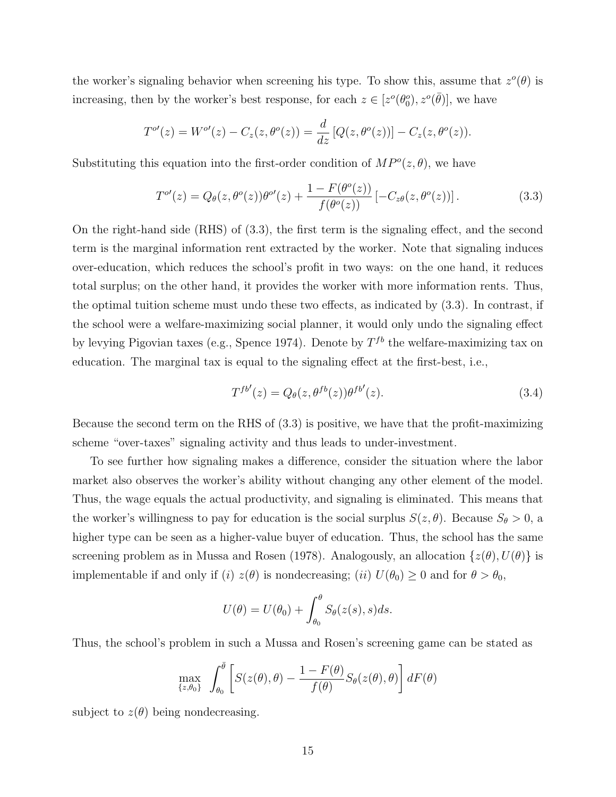the worker's signaling behavior when screening his type. To show this, assume that  $z^o(\theta)$  is increasing, then by the worker's best response, for each  $z \in [z^o(\theta_0^o), z^o(\bar{\theta})]$ , we have

$$
T^{o'}(z) = W^{o'}(z) - C_z(z, \theta^o(z)) = \frac{d}{dz} [Q(z, \theta^o(z))] - C_z(z, \theta^o(z)).
$$

Substituting this equation into the first-order condition of  $MP^o(z, \theta)$ , we have

$$
T^{o'}(z) = Q_{\theta}(z, \theta^o(z))\theta^{o'}(z) + \frac{1 - F(\theta^o(z))}{f(\theta^o(z))} [-C_{z\theta}(z, \theta^o(z))].
$$
\n(3.3)

On the right-hand side (RHS) of (3.3), the first term is the signaling effect, and the second term is the marginal information rent extracted by the worker. Note that signaling induces over-education, which reduces the school's profit in two ways: on the one hand, it reduces total surplus; on the other hand, it provides the worker with more information rents. Thus, the optimal tuition scheme must undo these two effects, as indicated by (3.3). In contrast, if the school were a welfare-maximizing social planner, it would only undo the signaling effect by levying Pigovian taxes (e.g., Spence 1974). Denote by  $T^{fb}$  the welfare-maximizing tax on education. The marginal tax is equal to the signaling effect at the first-best, i.e.,

$$
T^{fb'}(z) = Q_{\theta}(z, \theta^{fb}(z))\theta^{fb'}(z). \tag{3.4}
$$

Because the second term on the RHS of (3.3) is positive, we have that the profit-maximizing scheme "over-taxes" signaling activity and thus leads to under-investment.

To see further how signaling makes a difference, consider the situation where the labor market also observes the worker's ability without changing any other element of the model. Thus, the wage equals the actual productivity, and signaling is eliminated. This means that the worker's willingness to pay for education is the social surplus  $S(z, \theta)$ . Because  $S_{\theta} > 0$ , a higher type can be seen as a higher-value buyer of education. Thus, the school has the same screening problem as in Mussa and Rosen (1978). Analogously, an allocation  $\{z(\theta), U(\theta)\}\$ is implementable if and only if (i)  $z(\theta)$  is nondecreasing; (ii)  $U(\theta_0) \geq 0$  and for  $\theta > \theta_0$ ,

$$
U(\theta) = U(\theta_0) + \int_{\theta_0}^{\theta} S_{\theta}(z(s), s) ds.
$$

Thus, the school's problem in such a Mussa and Rosen's screening game can be stated as

$$
\max_{\{z,\theta_0\}} \int_{\theta_0}^{\bar{\theta}} \left[ S(z(\theta),\theta) - \frac{1 - F(\theta)}{f(\theta)} S_{\theta}(z(\theta),\theta) \right] dF(\theta)
$$

subject to  $z(\theta)$  being nondecreasing.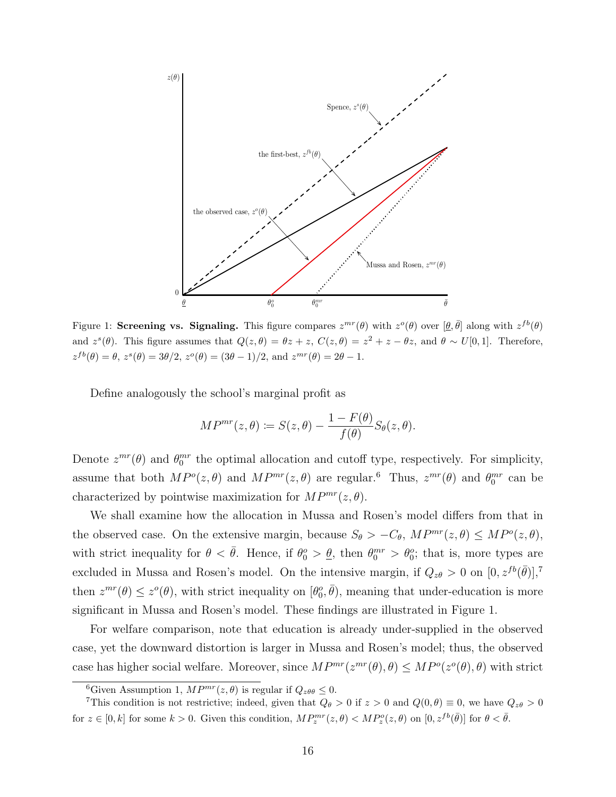

Figure 1: Screening vs. Signaling. This figure compares  $z^{mr}(\theta)$  with  $z^o(\theta)$  over  $[\theta, \bar{\theta}]$  along with  $z^{fb}(\theta)$ and  $z^s(\theta)$ . This figure assumes that  $Q(z,\theta) = \theta z + z$ ,  $C(z,\theta) = z^2 + z - \theta z$ , and  $\theta \sim U[0,1]$ . Therefore,  $z^{fb}(\theta) = \theta$ ,  $z^{s}(\theta) = 3\theta/2$ ,  $z^{o}(\theta) = (3\theta - 1)/2$ , and  $z^{mr}(\theta) = 2\theta - 1$ .

Define analogously the school's marginal profit as

$$
MP^{mr}(z,\theta) := S(z,\theta) - \frac{1 - F(\theta)}{f(\theta)} S_{\theta}(z,\theta).
$$

Denote  $z^{mr}(\theta)$  and  $\theta_0^{mr}$  the optimal allocation and cutoff type, respectively. For simplicity, assume that both  $MP^o(z, \theta)$  and  $MP^{mr}(z, \theta)$  are regular.<sup>6</sup> Thus,  $z^{mr}(\theta)$  and  $\theta_0^{mr}$  can be characterized by pointwise maximization for  $MP^{mr}(z, \theta)$ .

We shall examine how the allocation in Mussa and Rosen's model differs from that in the observed case. On the extensive margin, because  $S_{\theta} > -C_{\theta}$ ,  $MP^{mr}(z, \theta) \leq MP^{o}(z, \theta)$ , with strict inequality for  $\theta < \bar{\theta}$ . Hence, if  $\theta_0^o > \underline{\theta}$ , then  $\theta_0^{mr} > \theta_0^o$ ; that is, more types are excluded in Mussa and Rosen's model. On the intensive margin, if  $Q_{z\theta} > 0$  on  $[0, z^{fb}(\bar{\theta})],^7$ then  $z^{mr}(\theta) \leq z^{\circ}(\theta)$ , with strict inequality on  $[\theta_0^{\circ}, \bar{\theta})$ , meaning that under-education is more significant in Mussa and Rosen's model. These findings are illustrated in Figure 1.

For welfare comparison, note that education is already under-supplied in the observed case, yet the downward distortion is larger in Mussa and Rosen's model; thus, the observed case has higher social welfare. Moreover, since  $MP^{mr}(z^{mr}(\theta), \theta) \leq MP^o(z^o(\theta), \theta)$  with strict

<sup>&</sup>lt;sup>6</sup>Given Assumption 1,  $MP^{mr}(z, \theta)$  is regular if  $Q_{z\theta\theta} \leq 0$ .

<sup>&</sup>lt;sup>7</sup>This condition is not restrictive; indeed, given that  $Q_{\theta} > 0$  if  $z > 0$  and  $Q(0, \theta) \equiv 0$ , we have  $Q_{z\theta} > 0$ for  $z \in [0, k]$  for some  $k > 0$ . Given this condition,  $MP_z^{mr}(z, \theta) < MP_z^o(z, \theta)$  on  $[0, z^{fb}(\bar{\theta})]$  for  $\theta < \bar{\theta}$ .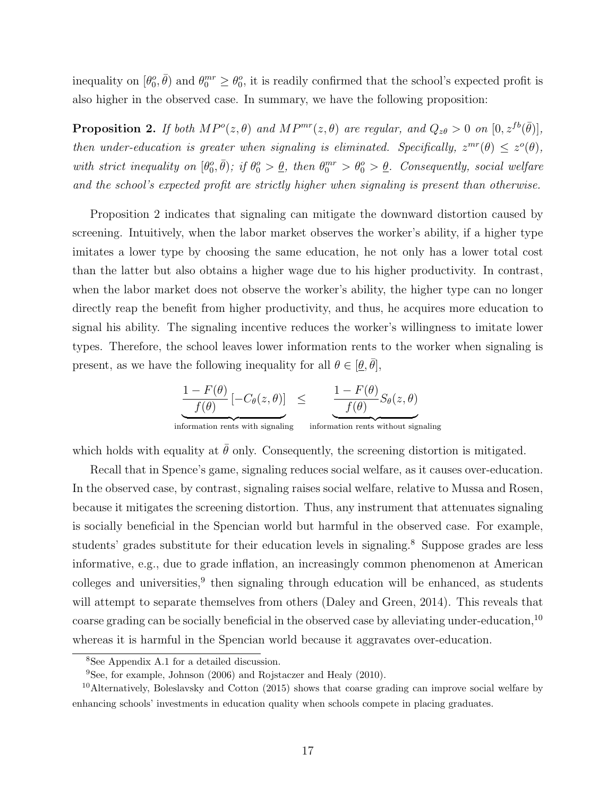inequality on  $[\theta_0^o, \bar{\theta})$  and  $\theta_0^{mr} \ge \theta_0^o$ , it is readily confirmed that the school's expected profit is also higher in the observed case. In summary, we have the following proposition:

**Proposition 2.** If both  $MP^o(z, \theta)$  and  $MP^{mr}(z, \theta)$  are regular, and  $Q_{z\theta} > 0$  on  $[0, z^{fb}(\bar{\theta})],$ then under-education is greater when signaling is eliminated. Specifically,  $z^{mr}(\theta) \leq z^{\circ}(\theta)$ , with strict inequality on  $[\theta_0^o, \bar{\theta})$ ; if  $\theta_0^o > \underline{\theta}$ , then  $\theta_0^{mr} > \theta_0^o > \underline{\theta}$ . Consequently, social welfare and the school's expected profit are strictly higher when signaling is present than otherwise.

Proposition 2 indicates that signaling can mitigate the downward distortion caused by screening. Intuitively, when the labor market observes the worker's ability, if a higher type imitates a lower type by choosing the same education, he not only has a lower total cost than the latter but also obtains a higher wage due to his higher productivity. In contrast, when the labor market does not observe the worker's ability, the higher type can no longer directly reap the benefit from higher productivity, and thus, he acquires more education to signal his ability. The signaling incentive reduces the worker's willingness to imitate lower types. Therefore, the school leaves lower information rents to the worker when signaling is present, as we have the following inequality for all  $\theta \in [\underline{\theta}, \overline{\theta}]$ ,

$$
\frac{1 - F(\theta)}{f(\theta)} [-C_{\theta}(z, \theta)] \leq \underbrace{\frac{1 - F(\theta)}{f(\theta)} S_{\theta}(z, \theta)}_{\text{information rents without signaling}}
$$

which holds with equality at  $\bar{\theta}$  only. Consequently, the screening distortion is mitigated.

Recall that in Spence's game, signaling reduces social welfare, as it causes over-education. In the observed case, by contrast, signaling raises social welfare, relative to Mussa and Rosen, because it mitigates the screening distortion. Thus, any instrument that attenuates signaling is socially beneficial in the Spencian world but harmful in the observed case. For example, students' grades substitute for their education levels in signaling.<sup>8</sup> Suppose grades are less informative, e.g., due to grade inflation, an increasingly common phenomenon at American colleges and universities,<sup>9</sup> then signaling through education will be enhanced, as students will attempt to separate themselves from others (Daley and Green, 2014). This reveals that coarse grading can be socially beneficial in the observed case by alleviating under-education,<sup>10</sup> whereas it is harmful in the Spencian world because it aggravates over-education.

<sup>8</sup>See Appendix A.1 for a detailed discussion.

<sup>9</sup>See, for example, Johnson (2006) and Rojstaczer and Healy (2010).

<sup>&</sup>lt;sup>10</sup>Alternatively, Boleslavsky and Cotton (2015) shows that coarse grading can improve social welfare by enhancing schools' investments in education quality when schools compete in placing graduates.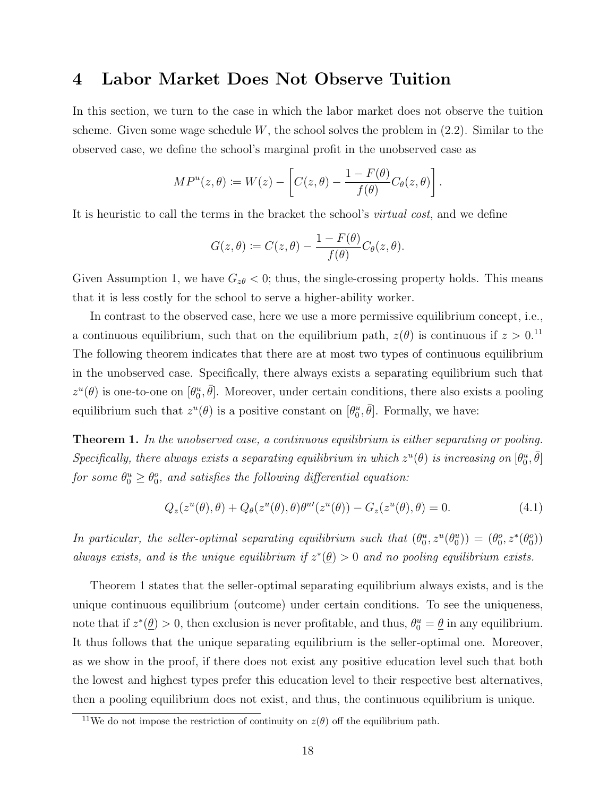## 4 Labor Market Does Not Observe Tuition

In this section, we turn to the case in which the labor market does not observe the tuition scheme. Given some wage schedule  $W$ , the school solves the problem in  $(2.2)$ . Similar to the observed case, we define the school's marginal profit in the unobserved case as

$$
MP^{u}(z,\theta) := W(z) - \left[C(z,\theta) - \frac{1 - F(\theta)}{f(\theta)}C_{\theta}(z,\theta)\right].
$$

It is heuristic to call the terms in the bracket the school's *virtual cost*, and we define

$$
G(z,\theta) := C(z,\theta) - \frac{1 - F(\theta)}{f(\theta)} C_{\theta}(z,\theta).
$$

Given Assumption 1, we have  $G_{z\theta} < 0$ ; thus, the single-crossing property holds. This means that it is less costly for the school to serve a higher-ability worker.

In contrast to the observed case, here we use a more permissive equilibrium concept, i.e., a continuous equilibrium, such that on the equilibrium path,  $z(\theta)$  is continuous if  $z > 0$ .<sup>11</sup> The following theorem indicates that there are at most two types of continuous equilibrium in the unobserved case. Specifically, there always exists a separating equilibrium such that  $z^u(\theta)$  is one-to-one on  $[\theta_0^u, \bar{\theta}]$ . Moreover, under certain conditions, there also exists a pooling equilibrium such that  $z^u(\theta)$  is a positive constant on  $[\theta_0^u, \overline{\theta}]$ . Formally, we have:

**Theorem 1.** In the unobserved case, a continuous equilibrium is either separating or pooling. Specifically, there always exists a separating equilibrium in which  $z^u(\theta)$  is increasing on  $[\theta_0^u, \bar{\theta}]$ for some  $\theta_0^u \ge \theta_0^o$ , and satisfies the following differential equation:

$$
Q_z(z^u(\theta),\theta) + Q_\theta(z^u(\theta),\theta)\theta^{u\prime}(z^u(\theta)) - G_z(z^u(\theta),\theta) = 0.
$$
\n(4.1)

In particular, the seller-optimal separating equilibrium such that  $(\theta_0^u, z^u(\theta_0^u)) = (\theta_0^o, z^*(\theta_0^o))$ always exists, and is the unique equilibrium if  $z^*(\underline{\theta}) > 0$  and no pooling equilibrium exists.

Theorem 1 states that the seller-optimal separating equilibrium always exists, and is the unique continuous equilibrium (outcome) under certain conditions. To see the uniqueness, note that if  $z^*(\underline{\theta}) > 0$ , then exclusion is never profitable, and thus,  $\theta_0^u = \underline{\theta}$  in any equilibrium. It thus follows that the unique separating equilibrium is the seller-optimal one. Moreover, as we show in the proof, if there does not exist any positive education level such that both the lowest and highest types prefer this education level to their respective best alternatives, then a pooling equilibrium does not exist, and thus, the continuous equilibrium is unique.

<sup>&</sup>lt;sup>11</sup>We do not impose the restriction of continuity on  $z(\theta)$  off the equilibrium path.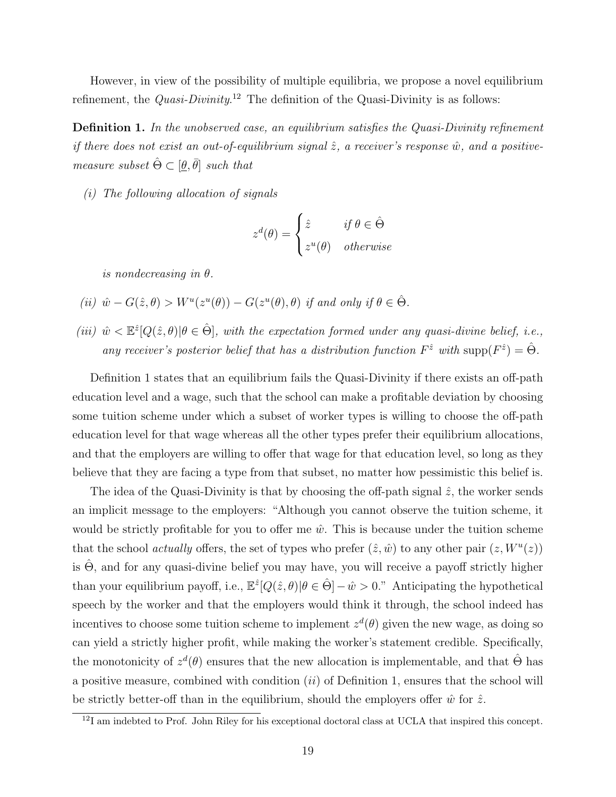However, in view of the possibility of multiple equilibria, we propose a novel equilibrium refinement, the *Quasi-Divinity*.<sup>12</sup> The definition of the Quasi-Divinity is as follows:

Definition 1. In the unobserved case, an equilibrium satisfies the Quasi-Divinity refinement if there does not exist an out-of-equilibrium signal  $\hat{z}$ , a receiver's response  $\hat{w}$ , and a positivemeasure subset  $\hat{\Theta} \subset [\underline{\theta}, \overline{\theta}]$  such that

(i) The following allocation of signals

$$
z^{d}(\theta) = \begin{cases} \hat{z} & \text{if } \theta \in \hat{\Theta} \\ z^{u}(\theta) & otherwise \end{cases}
$$

is nondecreasing in  $\theta$ .

(ii) 
$$
\hat{w} - G(\hat{z}, \theta) > W^u(z^u(\theta)) - G(z^u(\theta), \theta)
$$
 if and only if  $\theta \in \hat{\Theta}$ .

(iii)  $\hat{w} \lt \mathbb{E}^2[Q(\hat{z},\theta)|\theta \in \hat{\Theta}]$ , with the expectation formed under any quasi-divine belief, i.e., any receiver's posterior belief that has a distribution function  $F^{\hat{z}}$  with  $\text{supp}(F^{\hat{z}}) = \hat{\Theta}$ .

Definition 1 states that an equilibrium fails the Quasi-Divinity if there exists an off-path education level and a wage, such that the school can make a profitable deviation by choosing some tuition scheme under which a subset of worker types is willing to choose the off-path education level for that wage whereas all the other types prefer their equilibrium allocations, and that the employers are willing to offer that wage for that education level, so long as they believe that they are facing a type from that subset, no matter how pessimistic this belief is.

The idea of the Quasi-Divinity is that by choosing the off-path signal  $\hat{z}$ , the worker sends an implicit message to the employers: "Although you cannot observe the tuition scheme, it would be strictly profitable for you to offer me  $\hat{w}$ . This is because under the tuition scheme that the school actually offers, the set of types who prefer  $(\hat{z}, \hat{w})$  to any other pair  $(z, W^u(z))$ is  $\Theta$ , and for any quasi-divine belief you may have, you will receive a payoff strictly higher than your equilibrium payoff, i.e.,  $\mathbb{E}^{\hat{z}}[Q(\hat{z},\theta)|\theta \in \hat{\Theta}]-\hat{w}>0$ ." Anticipating the hypothetical speech by the worker and that the employers would think it through, the school indeed has incentives to choose some tuition scheme to implement  $z^d(\theta)$  given the new wage, as doing so can yield a strictly higher profit, while making the worker's statement credible. Specifically, the monotonicity of  $z^d(\theta)$  ensures that the new allocation is implementable, and that  $\hat{\Theta}$  has a positive measure, combined with condition  $(ii)$  of Definition 1, ensures that the school will be strictly better-off than in the equilibrium, should the employers offer  $\hat{w}$  for  $\hat{z}$ .

<sup>&</sup>lt;sup>12</sup>I am indebted to Prof. John Riley for his exceptional doctoral class at UCLA that inspired this concept.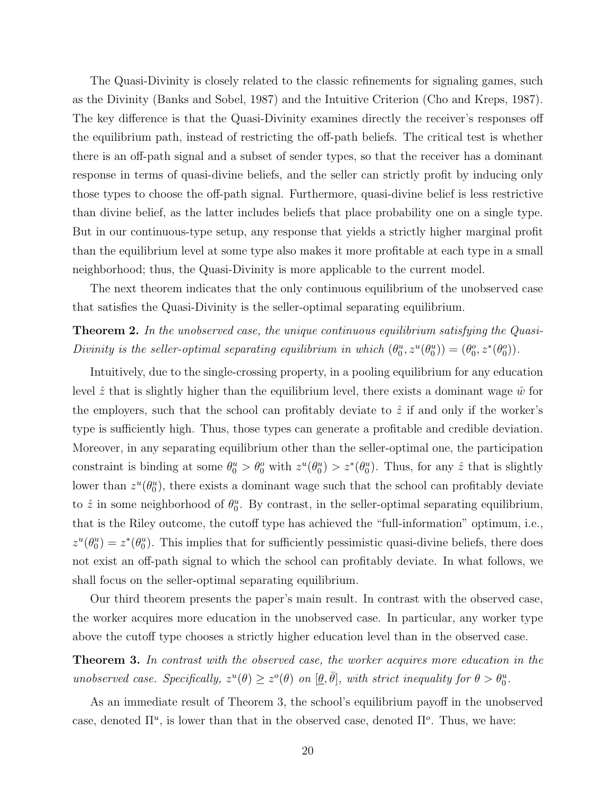The Quasi-Divinity is closely related to the classic refinements for signaling games, such as the Divinity (Banks and Sobel, 1987) and the Intuitive Criterion (Cho and Kreps, 1987). The key difference is that the Quasi-Divinity examines directly the receiver's responses off the equilibrium path, instead of restricting the off-path beliefs. The critical test is whether there is an off-path signal and a subset of sender types, so that the receiver has a dominant response in terms of quasi-divine beliefs, and the seller can strictly profit by inducing only those types to choose the off-path signal. Furthermore, quasi-divine belief is less restrictive than divine belief, as the latter includes beliefs that place probability one on a single type. But in our continuous-type setup, any response that yields a strictly higher marginal profit than the equilibrium level at some type also makes it more profitable at each type in a small neighborhood; thus, the Quasi-Divinity is more applicable to the current model.

The next theorem indicates that the only continuous equilibrium of the unobserved case that satisfies the Quasi-Divinity is the seller-optimal separating equilibrium.

**Theorem 2.** In the unobserved case, the unique continuous equilibrium satisfying the Quasi-Divinity is the seller-optimal separating equilibrium in which  $(\theta_0^u, z^u(\theta_0^u)) = (\theta_0^o, z^*(\theta_0^o))$ .

Intuitively, due to the single-crossing property, in a pooling equilibrium for any education level  $\hat{z}$  that is slightly higher than the equilibrium level, there exists a dominant wage  $\hat{w}$  for the employers, such that the school can profitably deviate to  $\hat{z}$  if and only if the worker's type is sufficiently high. Thus, those types can generate a profitable and credible deviation. Moreover, in any separating equilibrium other than the seller-optimal one, the participation constraint is binding at some  $\theta_0^u > \theta_0^o$  with  $z^u(\theta_0^u) > z^*(\theta_0^u)$ . Thus, for any  $\hat{z}$  that is slightly lower than  $z^u(\theta_0^u)$ , there exists a dominant wage such that the school can profitably deviate to  $\hat{z}$  in some neighborhood of  $\theta_0^u$ . By contrast, in the seller-optimal separating equilibrium, that is the Riley outcome, the cutoff type has achieved the "full-information" optimum, i.e.,  $z^u(\theta_0^u) = z^*(\theta_0^u)$ . This implies that for sufficiently pessimistic quasi-divine beliefs, there does not exist an off-path signal to which the school can profitably deviate. In what follows, we shall focus on the seller-optimal separating equilibrium.

Our third theorem presents the paper's main result. In contrast with the observed case, the worker acquires more education in the unobserved case. In particular, any worker type above the cutoff type chooses a strictly higher education level than in the observed case.

Theorem 3. In contrast with the observed case, the worker acquires more education in the unobserved case. Specifically,  $z^u(\theta) \geq z^o(\theta)$  on  $[\underline{\theta}, \overline{\theta}]$ , with strict inequality for  $\theta > \theta_0^u$ .

As an immediate result of Theorem 3, the school's equilibrium payoff in the unobserved case, denoted  $\Pi^u$ , is lower than that in the observed case, denoted  $\Pi^o$ . Thus, we have: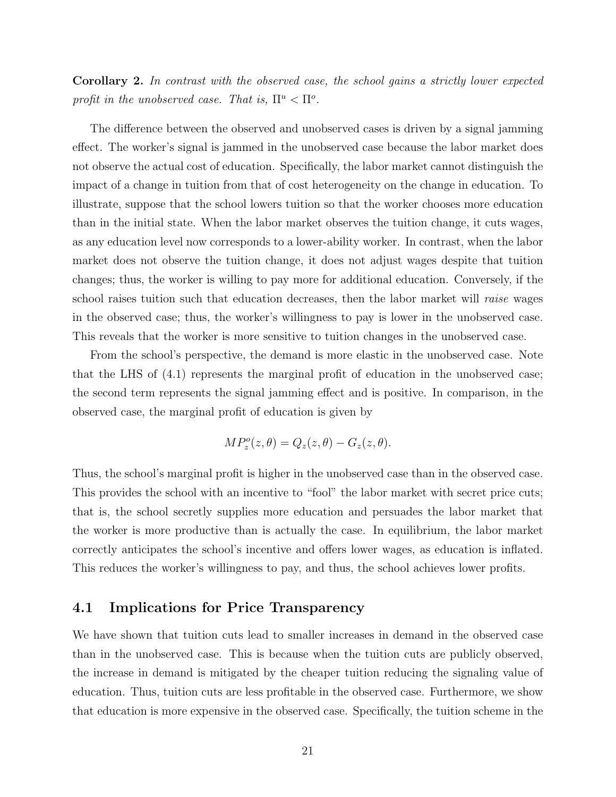Corollary 2. In contrast with the observed case, the school gains a strictly lower expected profit in the unobserved case. That is,  $\Pi^u < \Pi^o$ .

The difference between the observed and unobserved cases is driven by a signal jamming effect. The worker's signal is jammed in the unobserved case because the labor market does not observe the actual cost of education. Specifically, the labor market cannot distinguish the impact of a change in tuition from that of cost heterogeneity on the change in education. To illustrate, suppose that the school lowers tuition so that the worker chooses more education than in the initial state. When the labor market observes the tuition change, it cuts wages, as any education level now corresponds to a lower-ability worker. In contrast, when the labor market does not observe the tuition change, it does not adjust wages despite that tuition changes; thus, the worker is willing to pay more for additional education. Conversely, if the school raises tuition such that education decreases, then the labor market will raise wages in the observed case; thus, the worker's willingness to pay is lower in the unobserved case. This reveals that the worker is more sensitive to tuition changes in the unobserved case.

From the school's perspective, the demand is more elastic in the unobserved case. Note that the LHS of (4.1) represents the marginal profit of education in the unobserved case; the second term represents the signal jamming effect and is positive. In comparison, in the observed case, the marginal profit of education is given by

$$
MP_z^o(z,\theta) = Q_z(z,\theta) - G_z(z,\theta).
$$

Thus, the school's marginal profit is higher in the unobserved case than in the observed case. This provides the school with an incentive to "fool" the labor market with secret price cuts; that is, the school secretly supplies more education and persuades the labor market that the worker is more productive than is actually the case. In equilibrium, the labor market correctly anticipates the school's incentive and offers lower wages, as education is inflated. This reduces the worker's willingness to pay, and thus, the school achieves lower profits.

### 4.1 Implications for Price Transparency

We have shown that tuition cuts lead to smaller increases in demand in the observed case than in the unobserved case. This is because when the tuition cuts are publicly observed, the increase in demand is mitigated by the cheaper tuition reducing the signaling value of education. Thus, tuition cuts are less profitable in the observed case. Furthermore, we show that education is more expensive in the observed case. Specifically, the tuition scheme in the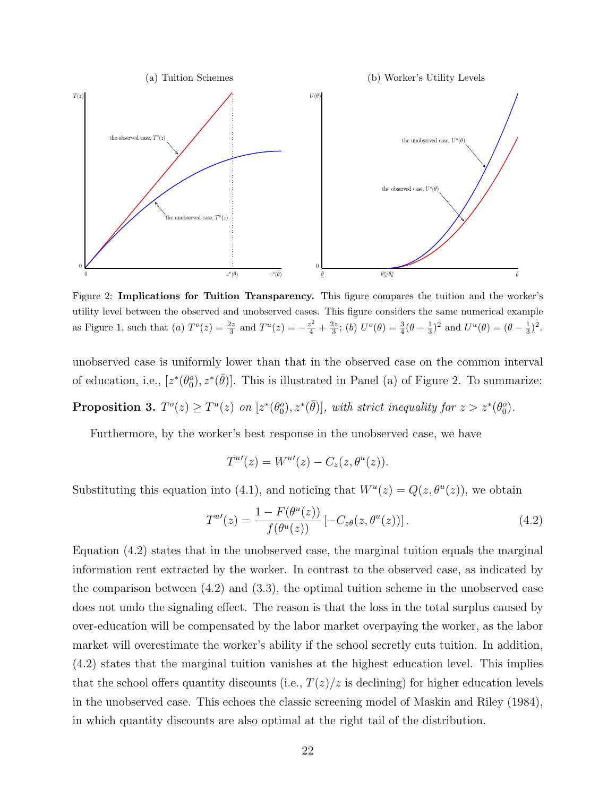

Figure 2: Implications for Tuition Transparency. This figure compares the tuition and the worker's utility level between the observed and unobserved cases. This figure considers the same numerical example as Figure 1, such that (a)  $T^o(z) = \frac{2z}{3}$  and  $T^u(z) = -\frac{z^2}{4} + \frac{2z}{3}$ ; (b)  $U^o(\theta) = \frac{3}{4}(\theta - \frac{1}{3})^2$  and  $U^u(\theta) = (\theta - \frac{1}{3})^2$ .

unobserved case is uniformly lower than that in the observed case on the common interval of education, i.e.,  $[z^*(\theta_0^o), z^*(\overline{\theta})]$ . This is illustrated in Panel (a) of Figure 2. To summarize:

**Proposition 3.**  $T^o(z) \geq T^u(z)$  on  $[z^*(\theta_0^o), z^*(\bar{\theta})]$ , with strict inequality for  $z > z^*(\theta_0^o)$ .

Furthermore, by the worker's best response in the unobserved case, we have

$$
T^{u\prime}(z) = W^{u\prime}(z) - C_z(z, \theta^u(z)).
$$

Substituting this equation into (4.1), and noticing that  $W^u(z) = Q(z, \theta^u(z))$ , we obtain

$$
T^{u'}(z) = \frac{1 - F(\theta^u(z))}{f(\theta^u(z))} \left[ -C_{z\theta}(z, \theta^u(z)) \right].
$$
 (4.2)

Equation (4.2) states that in the unobserved case, the marginal tuition equals the marginal information rent extracted by the worker. In contrast to the observed case, as indicated by the comparison between (4.2) and (3.3), the optimal tuition scheme in the unobserved case does not undo the signaling effect. The reason is that the loss in the total surplus caused by over-education will be compensated by the labor market overpaying the worker, as the labor market will overestimate the worker's ability if the school secretly cuts tuition. In addition, (4.2) states that the marginal tuition vanishes at the highest education level. This implies that the school offers quantity discounts (i.e.,  $T(z)/z$  is declining) for higher education levels in the unobserved case. This echoes the classic screening model of Maskin and Riley (1984), in which quantity discounts are also optimal at the right tail of the distribution.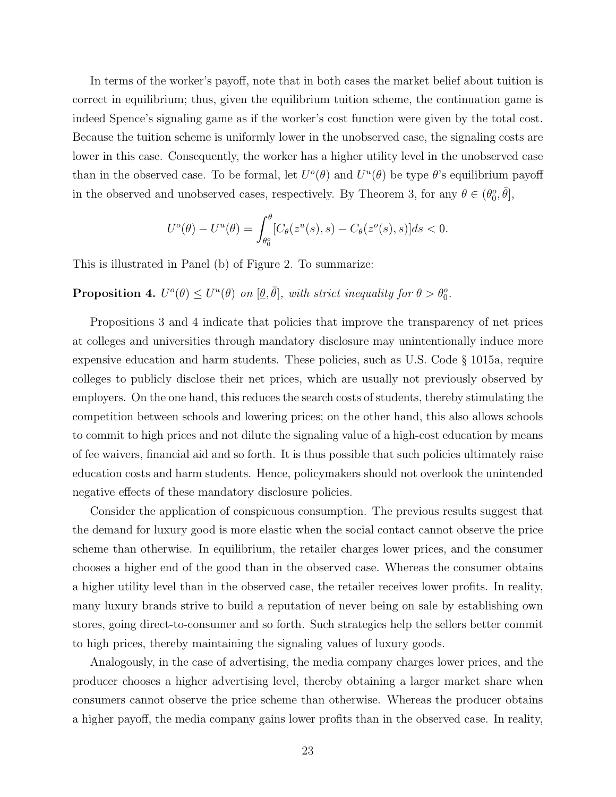In terms of the worker's payoff, note that in both cases the market belief about tuition is correct in equilibrium; thus, given the equilibrium tuition scheme, the continuation game is indeed Spence's signaling game as if the worker's cost function were given by the total cost. Because the tuition scheme is uniformly lower in the unobserved case, the signaling costs are lower in this case. Consequently, the worker has a higher utility level in the unobserved case than in the observed case. To be formal, let  $U^o(\theta)$  and  $U^u(\theta)$  be type  $\theta$ 's equilibrium payoff in the observed and unobserved cases, respectively. By Theorem 3, for any  $\theta \in (\theta_0^o, \bar{\theta}],$ 

$$
U^{o}(\theta) - U^{u}(\theta) = \int_{\theta_{0}^{o}}^{ \theta} [C_{\theta}(z^{u}(s), s) - C_{\theta}(z^{o}(s), s)] ds < 0.
$$

This is illustrated in Panel (b) of Figure 2. To summarize:

**Proposition 4.**  $U^o(\theta) \leq U^u(\theta)$  on  $[\theta, \bar{\theta}]$ , with strict inequality for  $\theta > \theta_0^o$ .

Propositions 3 and 4 indicate that policies that improve the transparency of net prices at colleges and universities through mandatory disclosure may unintentionally induce more expensive education and harm students. These policies, such as U.S. Code § 1015a, require colleges to publicly disclose their net prices, which are usually not previously observed by employers. On the one hand, this reduces the search costs of students, thereby stimulating the competition between schools and lowering prices; on the other hand, this also allows schools to commit to high prices and not dilute the signaling value of a high-cost education by means of fee waivers, financial aid and so forth. It is thus possible that such policies ultimately raise education costs and harm students. Hence, policymakers should not overlook the unintended negative effects of these mandatory disclosure policies.

Consider the application of conspicuous consumption. The previous results suggest that the demand for luxury good is more elastic when the social contact cannot observe the price scheme than otherwise. In equilibrium, the retailer charges lower prices, and the consumer chooses a higher end of the good than in the observed case. Whereas the consumer obtains a higher utility level than in the observed case, the retailer receives lower profits. In reality, many luxury brands strive to build a reputation of never being on sale by establishing own stores, going direct-to-consumer and so forth. Such strategies help the sellers better commit to high prices, thereby maintaining the signaling values of luxury goods.

Analogously, in the case of advertising, the media company charges lower prices, and the producer chooses a higher advertising level, thereby obtaining a larger market share when consumers cannot observe the price scheme than otherwise. Whereas the producer obtains a higher payoff, the media company gains lower profits than in the observed case. In reality,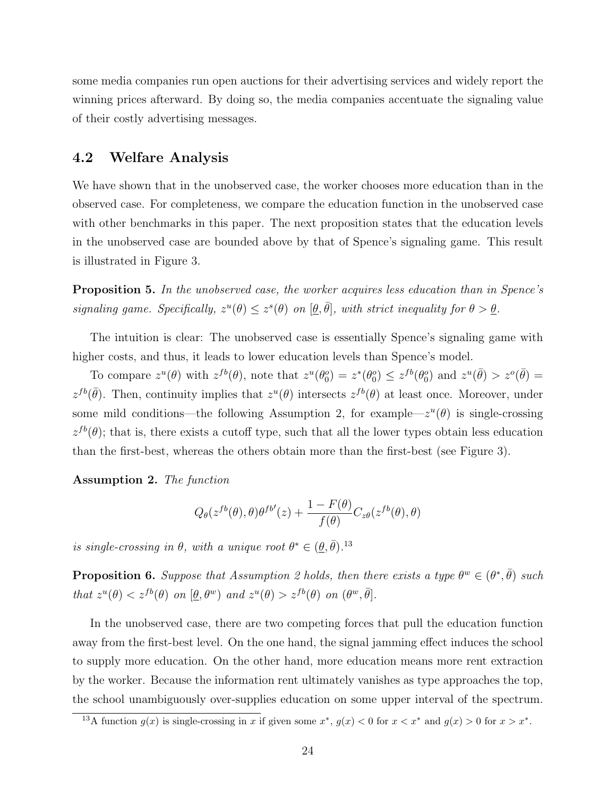some media companies run open auctions for their advertising services and widely report the winning prices afterward. By doing so, the media companies accentuate the signaling value of their costly advertising messages.

### 4.2 Welfare Analysis

We have shown that in the unobserved case, the worker chooses more education than in the observed case. For completeness, we compare the education function in the unobserved case with other benchmarks in this paper. The next proposition states that the education levels in the unobserved case are bounded above by that of Spence's signaling game. This result is illustrated in Figure 3.

Proposition 5. In the unobserved case, the worker acquires less education than in Spence's signaling game. Specifically,  $z^u(\theta) \leq z^s(\theta)$  on  $[\theta, \bar{\theta}]$ , with strict inequality for  $\theta > \theta$ .

The intuition is clear: The unobserved case is essentially Spence's signaling game with higher costs, and thus, it leads to lower education levels than Spence's model.

To compare  $z^u(\theta)$  with  $z^{fb}(\theta)$ , note that  $z^u(\theta_0^o) = z^*(\theta_0^o) \leq z^{fb}(\theta_0^o)$  and  $z^u(\bar{\theta}) > z^o(\bar{\theta}) =$  $z^{fb}(\bar{\theta})$ . Then, continuity implies that  $z^u(\theta)$  intersects  $z^{fb}(\theta)$  at least once. Moreover, under some mild conditions—the following Assumption 2, for example— $z^u(\theta)$  is single-crossing  $z^{fb}(\theta)$ ; that is, there exists a cutoff type, such that all the lower types obtain less education than the first-best, whereas the others obtain more than the first-best (see Figure 3).

Assumption 2. The function

$$
Q_{\theta}(z^{fb}(\theta), \theta)\theta^{fb'}(z) + \frac{1 - F(\theta)}{f(\theta)}C_{z\theta}(z^{fb}(\theta), \theta)
$$

is single-crossing in  $\theta$ , with a unique root  $\theta^* \in (\underline{\theta}, \overline{\theta})$ .<sup>13</sup>

**Proposition 6.** Suppose that Assumption 2 holds, then there exists a type  $\theta^w \in (\theta^*, \bar{\theta})$  such that  $z^u(\theta) < z^{fb}(\theta)$  on  $[\underline{\theta}, \theta^w)$  and  $z^u(\theta) > z^{fb}(\theta)$  on  $(\theta^w, \overline{\theta})$ .

In the unobserved case, there are two competing forces that pull the education function away from the first-best level. On the one hand, the signal jamming effect induces the school to supply more education. On the other hand, more education means more rent extraction by the worker. Because the information rent ultimately vanishes as type approaches the top, the school unambiguously over-supplies education on some upper interval of the spectrum.

<sup>&</sup>lt;sup>13</sup>A function  $g(x)$  is single-crossing in x if given some  $x^*$ ,  $g(x) < 0$  for  $x < x^*$  and  $g(x) > 0$  for  $x > x^*$ .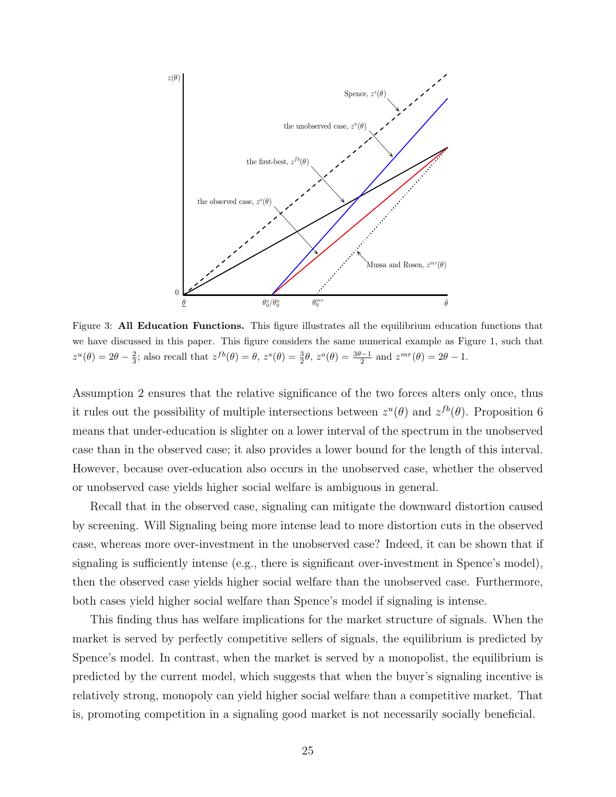

Figure 3: All Education Functions. This figure illustrates all the equilibrium education functions that we have discussed in this paper. This figure considers the same numerical example as Figure 1, such that  $z^u(\theta) = 2\theta - \frac{2}{3}$ ; also recall that  $z^{fb}(\theta) = \theta$ ,  $z^s(\theta) = \frac{3}{2}\theta$ ,  $z^o(\theta) = \frac{3\theta - 1}{2}$  and  $z^{mr}(\theta) = 2\theta - 1$ .

Assumption 2 ensures that the relative significance of the two forces alters only once, thus it rules out the possibility of multiple intersections between  $z^u(\theta)$  and  $z^{fb}(\theta)$ . Proposition 6 means that under-education is slighter on a lower interval of the spectrum in the unobserved case than in the observed case; it also provides a lower bound for the length of this interval. However, because over-education also occurs in the unobserved case, whether the observed or unobserved case yields higher social welfare is ambiguous in general.

Recall that in the observed case, signaling can mitigate the downward distortion caused by screening. Will Signaling being more intense lead to more distortion cuts in the observed case, whereas more over-investment in the unobserved case? Indeed, it can be shown that if signaling is sufficiently intense (e.g., there is significant over-investment in Spence's model), then the observed case yields higher social welfare than the unobserved case. Furthermore, both cases yield higher social welfare than Spence's model if signaling is intense.

This finding thus has welfare implications for the market structure of signals. When the market is served by perfectly competitive sellers of signals, the equilibrium is predicted by Spence's model. In contrast, when the market is served by a monopolist, the equilibrium is predicted by the current model, which suggests that when the buyer's signaling incentive is relatively strong, monopoly can yield higher social welfare than a competitive market. That is, promoting competition in a signaling good market is not necessarily socially beneficial.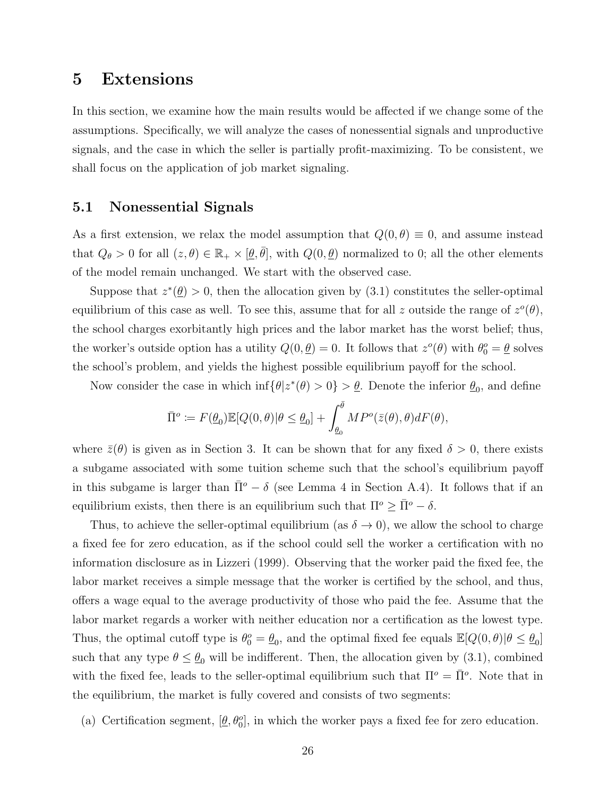## 5 Extensions

In this section, we examine how the main results would be affected if we change some of the assumptions. Specifically, we will analyze the cases of nonessential signals and unproductive signals, and the case in which the seller is partially profit-maximizing. To be consistent, we shall focus on the application of job market signaling.

### 5.1 Nonessential Signals

As a first extension, we relax the model assumption that  $Q(0, \theta) \equiv 0$ , and assume instead that  $Q_{\theta} > 0$  for all  $(z, \theta) \in \mathbb{R}_+ \times [\theta, \bar{\theta}],$  with  $Q(0, \theta)$  normalized to 0; all the other elements of the model remain unchanged. We start with the observed case.

Suppose that  $z^*(\underline{\theta}) > 0$ , then the allocation given by (3.1) constitutes the seller-optimal equilibrium of this case as well. To see this, assume that for all z outside the range of  $z^o(\theta)$ , the school charges exorbitantly high prices and the labor market has the worst belief; thus, the worker's outside option has a utility  $Q(0, \underline{\theta}) = 0$ . It follows that  $z^o(\theta)$  with  $\theta_0^o = \underline{\theta}$  solves the school's problem, and yields the highest possible equilibrium payoff for the school.

Now consider the case in which  $\inf \{ \theta | z^*(\theta) > 0 \} > \underline{\theta}$ . Denote the inferior  $\underline{\theta}_0$ , and define

$$
\bar{\Pi}^o := F(\underline{\theta}_0) \mathbb{E}[Q(0,\theta)|\theta \le \underline{\theta}_0] + \int_{\underline{\theta}_0}^{\bar{\theta}} MP^o(\bar{z}(\theta),\theta) dF(\theta),
$$

where  $\bar{z}(\theta)$  is given as in Section 3. It can be shown that for any fixed  $\delta > 0$ , there exists a subgame associated with some tuition scheme such that the school's equilibrium payoff in this subgame is larger than  $\bar{\Pi}^{\circ} - \delta$  (see Lemma 4 in Section A.4). It follows that if an equilibrium exists, then there is an equilibrium such that  $\Pi^o \geq \overline{\Pi}^o - \delta$ .

Thus, to achieve the seller-optimal equilibrium (as  $\delta \to 0$ ), we allow the school to charge a fixed fee for zero education, as if the school could sell the worker a certification with no information disclosure as in Lizzeri (1999). Observing that the worker paid the fixed fee, the labor market receives a simple message that the worker is certified by the school, and thus, offers a wage equal to the average productivity of those who paid the fee. Assume that the labor market regards a worker with neither education nor a certification as the lowest type. Thus, the optimal cutoff type is  $\theta_0^o = \underline{\theta}_0$ , and the optimal fixed fee equals  $\mathbb{E}[Q(0,\theta)|\theta \leq \underline{\theta}_0]$ such that any type  $\theta \leq \theta_0$  will be indifferent. Then, the allocation given by (3.1), combined with the fixed fee, leads to the seller-optimal equilibrium such that  $\Pi^{\circ} = \overline{\Pi}^{\circ}$ . Note that in the equilibrium, the market is fully covered and consists of two segments:

(a) Certification segment,  $[\underline{\theta}, \theta_0^o]$ , in which the worker pays a fixed fee for zero education.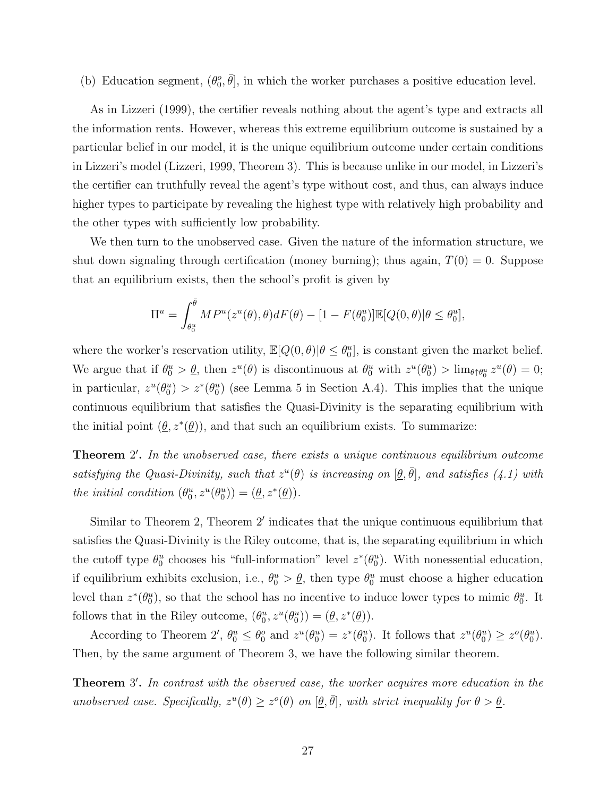(b) Education segment,  $(\theta_0^o, \overline{\theta}]$ , in which the worker purchases a positive education level.

As in Lizzeri (1999), the certifier reveals nothing about the agent's type and extracts all the information rents. However, whereas this extreme equilibrium outcome is sustained by a particular belief in our model, it is the unique equilibrium outcome under certain conditions in Lizzeri's model (Lizzeri, 1999, Theorem 3). This is because unlike in our model, in Lizzeri's the certifier can truthfully reveal the agent's type without cost, and thus, can always induce higher types to participate by revealing the highest type with relatively high probability and the other types with sufficiently low probability.

We then turn to the unobserved case. Given the nature of the information structure, we shut down signaling through certification (money burning); thus again,  $T(0) = 0$ . Suppose that an equilibrium exists, then the school's profit is given by

$$
\Pi^u = \int_{\theta_0^u}^{\overline{\theta}} MP^u(z^u(\theta), \theta) dF(\theta) - [1 - F(\theta_0^u)] \mathbb{E}[Q(0, \theta)|\theta \le \theta_0^u],
$$

where the worker's reservation utility,  $\mathbb{E}[Q(0,\theta)|\theta \leq \theta_0^u]$ , is constant given the market belief. We argue that if  $\theta_0^u > \underline{\theta}$ , then  $z^u(\theta)$  is discontinuous at  $\theta_0^u$  with  $z^u(\theta_0^u) > \lim_{\theta \uparrow \theta_0^u} z^u(\theta) = 0$ ; in particular,  $z^u(\theta_0^u) > z^*(\theta_0^u)$  (see Lemma 5 in Section A.4). This implies that the unique continuous equilibrium that satisfies the Quasi-Divinity is the separating equilibrium with the initial point  $(\underline{\theta}, z^*(\underline{\theta}))$ , and that such an equilibrium exists. To summarize:

Theorem 2'. In the unobserved case, there exists a unique continuous equilibrium outcome satisfying the Quasi-Divinity, such that  $z^u(\theta)$  is increasing on  $[\underline{\theta}, \overline{\theta}]$ , and satisfies (4.1) with the initial condition  $(\theta_0^u, z^u(\theta_0^u)) = (\underline{\theta}, z^*(\underline{\theta}))$ .

Similar to Theorem 2, Theorem 2' indicates that the unique continuous equilibrium that satisfies the Quasi-Divinity is the Riley outcome, that is, the separating equilibrium in which the cutoff type  $\theta_0^u$  chooses his "full-information" level  $z^*(\theta_0^u)$ . With nonessential education, if equilibrium exhibits exclusion, i.e.,  $\theta_0^u > \underline{\theta}$ , then type  $\theta_0^u$  must choose a higher education level than  $z^*(\theta_0^u)$ , so that the school has no incentive to induce lower types to mimic  $\theta_0^u$ . It follows that in the Riley outcome,  $(\theta_0^u, z^u(\theta_0^u)) = (\underline{\theta}, z^*(\underline{\theta}))$ .

According to Theorem 2',  $\theta_0^u \leq \theta_0^o$  and  $z^u(\theta_0^u) = z^*(\theta_0^u)$ . It follows that  $z^u(\theta_0^u) \geq z^o(\theta_0^u)$ . Then, by the same argument of Theorem 3, we have the following similar theorem.

Theorem 3'. In contrast with the observed case, the worker acquires more education in the unobserved case. Specifically,  $z^u(\theta) \geq z^o(\theta)$  on  $[\underline{\theta}, \overline{\theta}]$ , with strict inequality for  $\theta > \underline{\theta}$ .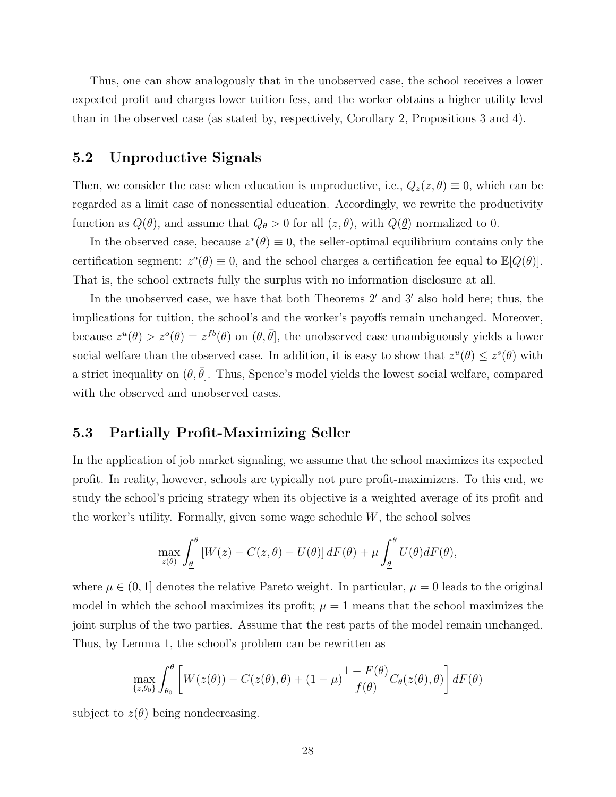Thus, one can show analogously that in the unobserved case, the school receives a lower expected profit and charges lower tuition fess, and the worker obtains a higher utility level than in the observed case (as stated by, respectively, Corollary 2, Propositions 3 and 4).

### 5.2 Unproductive Signals

Then, we consider the case when education is unproductive, i.e.,  $Q_z(z, \theta) \equiv 0$ , which can be regarded as a limit case of nonessential education. Accordingly, we rewrite the productivity function as  $Q(\theta)$ , and assume that  $Q_{\theta} > 0$  for all  $(z, \theta)$ , with  $Q(\underline{\theta})$  normalized to 0.

In the observed case, because  $z^*(\theta) \equiv 0$ , the seller-optimal equilibrium contains only the certification segment:  $z^{\circ}(\theta) \equiv 0$ , and the school charges a certification fee equal to  $\mathbb{E}[Q(\theta)].$ That is, the school extracts fully the surplus with no information disclosure at all.

In the unobserved case, we have that both Theorems  $2'$  and  $3'$  also hold here; thus, the implications for tuition, the school's and the worker's payoffs remain unchanged. Moreover, because  $z^u(\theta) > z^o(\theta) = z^{fb}(\theta)$  on  $(\theta, \bar{\theta}],$  the unobserved case unambiguously yields a lower social welfare than the observed case. In addition, it is easy to show that  $z^u(\theta) \leq z^s(\theta)$  with a strict inequality on  $(\underline{\theta}, \overline{\theta}]$ . Thus, Spence's model yields the lowest social welfare, compared with the observed and unobserved cases.

### 5.3 Partially Profit-Maximizing Seller

In the application of job market signaling, we assume that the school maximizes its expected profit. In reality, however, schools are typically not pure profit-maximizers. To this end, we study the school's pricing strategy when its objective is a weighted average of its profit and the worker's utility. Formally, given some wage schedule  $W$ , the school solves

$$
\max_{z(\theta)} \int_{\underline{\theta}}^{\bar{\theta}} \left[ W(z) - C(z, \theta) - U(\theta) \right] dF(\theta) + \mu \int_{\underline{\theta}}^{\bar{\theta}} U(\theta) dF(\theta),
$$

where  $\mu \in (0, 1]$  denotes the relative Pareto weight. In particular,  $\mu = 0$  leads to the original model in which the school maximizes its profit;  $\mu = 1$  means that the school maximizes the joint surplus of the two parties. Assume that the rest parts of the model remain unchanged. Thus, by Lemma 1, the school's problem can be rewritten as

$$
\max_{\{z,\theta_0\}} \int_{\theta_0}^{\bar{\theta}} \left[ W(z(\theta)) - C(z(\theta), \theta) + (1 - \mu) \frac{1 - F(\theta)}{f(\theta)} C_{\theta}(z(\theta), \theta) \right] dF(\theta)
$$

subject to  $z(\theta)$  being nondecreasing.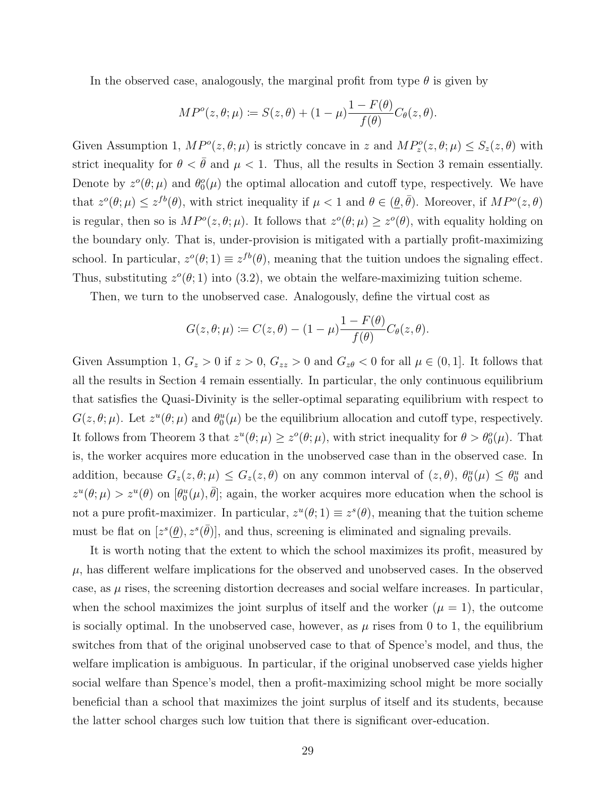In the observed case, analogously, the marginal profit from type  $\theta$  is given by

$$
MP^o(z, \theta; \mu) \coloneqq S(z, \theta) + (1 - \mu) \frac{1 - F(\theta)}{f(\theta)} C_{\theta}(z, \theta).
$$

Given Assumption 1,  $MP^o(z, \theta; \mu)$  is strictly concave in z and  $MP_z^o(z, \theta; \mu) \leq S_z(z, \theta)$  with strict inequality for  $\theta < \bar{\theta}$  and  $\mu < 1$ . Thus, all the results in Section 3 remain essentially. Denote by  $z^{\circ}(\theta;\mu)$  and  $\theta_0^{\circ}(\mu)$  the optimal allocation and cutoff type, respectively. We have that  $z^o(\theta; \mu) \leq z^{fb}(\theta)$ , with strict inequality if  $\mu < 1$  and  $\theta \in (\underline{\theta}, \overline{\theta})$ . Moreover, if  $MP^o(z, \theta)$ is regular, then so is  $MP^o(z, \theta; \mu)$ . It follows that  $z^o(\theta; \mu) \geq z^o(\theta)$ , with equality holding on the boundary only. That is, under-provision is mitigated with a partially profit-maximizing school. In particular,  $z^o(\theta; 1) \equiv z^{fb}(\theta)$ , meaning that the tuition undoes the signaling effect. Thus, substituting  $z^o(\theta; 1)$  into (3.2), we obtain the welfare-maximizing tuition scheme.

Then, we turn to the unobserved case. Analogously, define the virtual cost as

$$
G(z, \theta; \mu) := C(z, \theta) - (1 - \mu) \frac{1 - F(\theta)}{f(\theta)} C_{\theta}(z, \theta).
$$

Given Assumption 1,  $G_z > 0$  if  $z > 0$ ,  $G_{zz} > 0$  and  $G_{z\theta} < 0$  for all  $\mu \in (0, 1]$ . It follows that all the results in Section 4 remain essentially. In particular, the only continuous equilibrium that satisfies the Quasi-Divinity is the seller-optimal separating equilibrium with respect to  $G(z, \theta; \mu)$ . Let  $z^u(\theta; \mu)$  and  $\theta_0^u(\mu)$  be the equilibrium allocation and cutoff type, respectively. It follows from Theorem 3 that  $z^u(\theta; \mu) \ge z^o(\theta; \mu)$ , with strict inequality for  $\theta > \theta_0^o(\mu)$ . That is, the worker acquires more education in the unobserved case than in the observed case. In addition, because  $G_z(z, \theta; \mu) \le G_z(z, \theta)$  on any common interval of  $(z, \theta)$ ,  $\theta_0^u(\mu) \le \theta_0^u$  and  $z^u(\theta; \mu) > z^u(\theta)$  on  $[\theta_0^u(\mu), \bar{\theta}]$ ; again, the worker acquires more education when the school is not a pure profit-maximizer. In particular,  $z^u(\theta;1) \equiv z^s(\theta)$ , meaning that the tuition scheme must be flat on  $[z^s(\theta), z^s(\bar{\theta})]$ , and thus, screening is eliminated and signaling prevails.

It is worth noting that the extent to which the school maximizes its profit, measured by  $\mu$ , has different welfare implications for the observed and unobserved cases. In the observed case, as  $\mu$  rises, the screening distortion decreases and social welfare increases. In particular, when the school maximizes the joint surplus of itself and the worker  $(\mu = 1)$ , the outcome is socially optimal. In the unobserved case, however, as  $\mu$  rises from 0 to 1, the equilibrium switches from that of the original unobserved case to that of Spence's model, and thus, the welfare implication is ambiguous. In particular, if the original unobserved case yields higher social welfare than Spence's model, then a profit-maximizing school might be more socially beneficial than a school that maximizes the joint surplus of itself and its students, because the latter school charges such low tuition that there is significant over-education.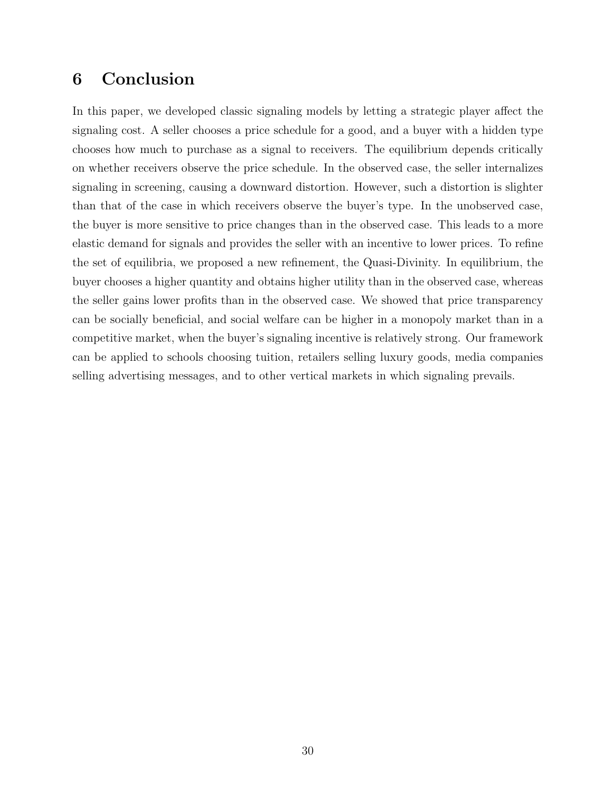## 6 Conclusion

In this paper, we developed classic signaling models by letting a strategic player affect the signaling cost. A seller chooses a price schedule for a good, and a buyer with a hidden type chooses how much to purchase as a signal to receivers. The equilibrium depends critically on whether receivers observe the price schedule. In the observed case, the seller internalizes signaling in screening, causing a downward distortion. However, such a distortion is slighter than that of the case in which receivers observe the buyer's type. In the unobserved case, the buyer is more sensitive to price changes than in the observed case. This leads to a more elastic demand for signals and provides the seller with an incentive to lower prices. To refine the set of equilibria, we proposed a new refinement, the Quasi-Divinity. In equilibrium, the buyer chooses a higher quantity and obtains higher utility than in the observed case, whereas the seller gains lower profits than in the observed case. We showed that price transparency can be socially beneficial, and social welfare can be higher in a monopoly market than in a competitive market, when the buyer's signaling incentive is relatively strong. Our framework can be applied to schools choosing tuition, retailers selling luxury goods, media companies selling advertising messages, and to other vertical markets in which signaling prevails.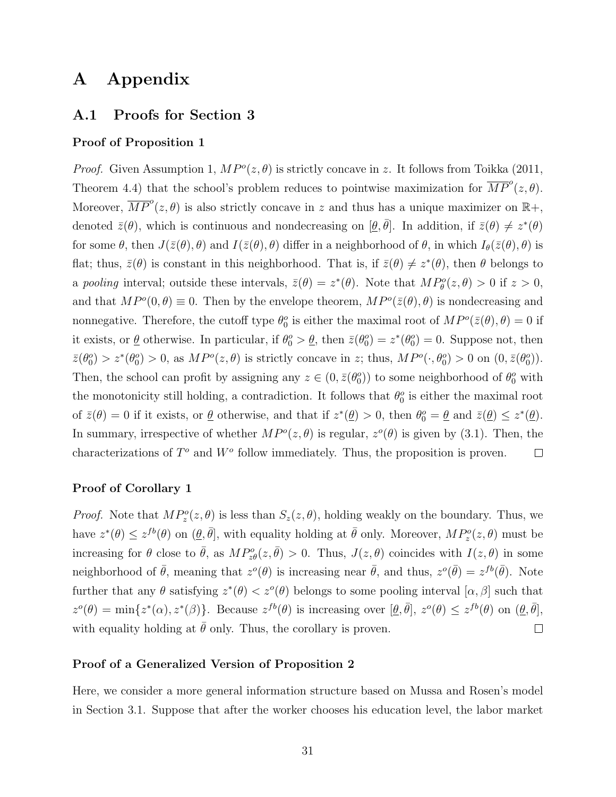## A Appendix

## A.1 Proofs for Section 3

#### Proof of Proposition 1

*Proof.* Given Assumption 1,  $MP^o(z, \theta)$  is strictly concave in z. It follows from Toikka (2011, Theorem 4.4) that the school's problem reduces to pointwise maximization for  $\overline{MP}^o(z, \theta)$ . Moreover,  $\overline{MP}^o(z, \theta)$  is also strictly concave in z and thus has a unique maximizer on  $\mathbb{R}^+,$ denoted  $\bar{z}(\theta)$ , which is continuous and nondecreasing on  $[\theta, \bar{\theta}]$ . In addition, if  $\bar{z}(\theta) \neq z^*(\theta)$ for some  $\theta$ , then  $J(\bar{z}(\theta), \theta)$  and  $I(\bar{z}(\theta), \theta)$  differ in a neighborhood of  $\theta$ , in which  $I_{\theta}(\bar{z}(\theta), \theta)$  is flat; thus,  $\bar{z}(\theta)$  is constant in this neighborhood. That is, if  $\bar{z}(\theta) \neq z^*(\theta)$ , then  $\theta$  belongs to a pooling interval; outside these intervals,  $\bar{z}(\theta) = z^*(\theta)$ . Note that  $MP_{\theta}^o(z, \theta) > 0$  if  $z > 0$ , and that  $MP^o(0, \theta) \equiv 0$ . Then by the envelope theorem,  $MP^o(\bar{z}(\theta), \theta)$  is nondecreasing and nonnegative. Therefore, the cutoff type  $\theta_0^o$  is either the maximal root of  $MP^o(\bar{z}(\theta), \theta) = 0$  if it exists, or  $\underline{\theta}$  otherwise. In particular, if  $\theta_0^o > \underline{\theta}$ , then  $\overline{z}(\theta_0^o) = z^*(\theta_0^o) = 0$ . Suppose not, then  $\bar{z}(\theta_0^o) > z^*(\theta_0^o) > 0$ , as  $MP^o(z, \theta)$  is strictly concave in z; thus,  $MP^o(\cdot, \theta_0^o) > 0$  on  $(0, \bar{z}(\theta_0^o))$ . Then, the school can profit by assigning any  $z \in (0, \bar{z}(\theta_0))$  to some neighborhood of  $\theta_0^o$  with the monotonicity still holding, a contradiction. It follows that  $\theta_0^o$  is either the maximal root of  $\bar{z}(\theta) = 0$  if it exists, or  $\underline{\theta}$  otherwise, and that if  $z^*(\underline{\theta}) > 0$ , then  $\theta_0^o = \underline{\theta}$  and  $\bar{z}(\underline{\theta}) \le z^*(\underline{\theta})$ . In summary, irrespective of whether  $MP^o(z, \theta)$  is regular,  $z^o(\theta)$  is given by (3.1). Then, the characterizations of  $T^o$  and  $W^o$  follow immediately. Thus, the proposition is proven.  $\Box$ 

#### Proof of Corollary 1

*Proof.* Note that  $MP_z^o(z, \theta)$  is less than  $S_z(z, \theta)$ , holding weakly on the boundary. Thus, we have  $z^*(\theta) \leq z^{fb}(\theta)$  on  $(\theta, \bar{\theta}]$ , with equality holding at  $\bar{\theta}$  only. Moreover,  $MP_z^o(z, \theta)$  must be increasing for  $\theta$  close to  $\bar{\theta}$ , as  $MP_{z\theta}^o(z,\bar{\theta}) > 0$ . Thus,  $J(z,\theta)$  coincides with  $I(z,\theta)$  in some neighborhood of  $\bar{\theta}$ , meaning that  $z^o(\theta)$  is increasing near  $\bar{\theta}$ , and thus,  $z^o(\bar{\theta}) = z^{fb}(\bar{\theta})$ . Note further that any  $\theta$  satisfying  $z^*(\theta) < z^o(\theta)$  belongs to some pooling interval  $[\alpha, \beta]$  such that  $z^o(\theta) = \min\{z^*(\alpha), z^*(\beta)\}\.$  Because  $z^{fb}(\theta)$  is increasing over  $[\theta, \bar{\theta}], z^o(\theta) \leq z^{fb}(\theta)$  on  $(\theta, \bar{\theta}],$ with equality holding at  $\bar{\theta}$  only. Thus, the corollary is proven.  $\Box$ 

#### Proof of a Generalized Version of Proposition 2

Here, we consider a more general information structure based on Mussa and Rosen's model in Section 3.1. Suppose that after the worker chooses his education level, the labor market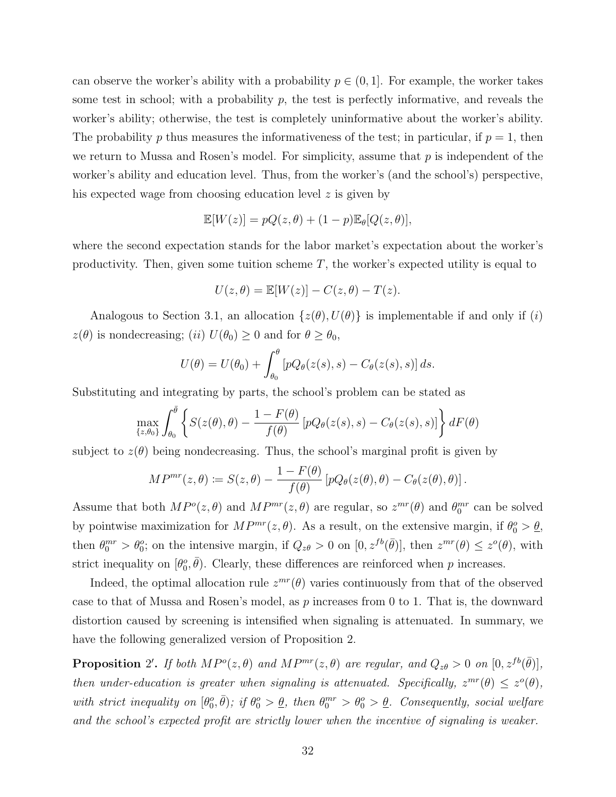can observe the worker's ability with a probability  $p \in (0,1]$ . For example, the worker takes some test in school; with a probability  $p$ , the test is perfectly informative, and reveals the worker's ability; otherwise, the test is completely uninformative about the worker's ability. The probability p thus measures the informativeness of the test; in particular, if  $p = 1$ , then we return to Mussa and Rosen's model. For simplicity, assume that  $p$  is independent of the worker's ability and education level. Thus, from the worker's (and the school's) perspective, his expected wage from choosing education level z is given by

$$
\mathbb{E}[W(z)] = pQ(z, \theta) + (1 - p)\mathbb{E}_{\theta}[Q(z, \theta)],
$$

where the second expectation stands for the labor market's expectation about the worker's productivity. Then, given some tuition scheme  $T$ , the worker's expected utility is equal to

$$
U(z, \theta) = \mathbb{E}[W(z)] - C(z, \theta) - T(z).
$$

Analogous to Section 3.1, an allocation  $\{z(\theta), U(\theta)\}\$ is implementable if and only if (i)  $z(\theta)$  is nondecreasing; (ii)  $U(\theta_0) \geq 0$  and for  $\theta \geq \theta_0$ ,

$$
U(\theta) = U(\theta_0) + \int_{\theta_0}^{\theta} \left[ pQ_{\theta}(z(s), s) - C_{\theta}(z(s), s) \right] ds.
$$

Substituting and integrating by parts, the school's problem can be stated as

$$
\max_{\{z,\theta_0\}} \int_{\theta_0}^{\bar{\theta}} \left\{ S(z(\theta),\theta) - \frac{1-F(\theta)}{f(\theta)} \left[ pQ_{\theta}(z(s),s) - C_{\theta}(z(s),s) \right] \right\} dF(\theta)
$$

subject to  $z(\theta)$  being nondecreasing. Thus, the school's marginal profit is given by

$$
MP^{mr}(z,\theta) \coloneqq S(z,\theta) - \frac{1 - F(\theta)}{f(\theta)} \left[ pQ_{\theta}(z(\theta),\theta) - C_{\theta}(z(\theta),\theta) \right].
$$

Assume that both  $MP^o(z, \theta)$  and  $MP^{mr}(z, \theta)$  are regular, so  $z^{mr}(\theta)$  and  $\theta_0^{mr}$  can be solved by pointwise maximization for  $MP^{mr}(z, \theta)$ . As a result, on the extensive margin, if  $\theta_0^o > \underline{\theta}$ , then  $\theta_0^{mr} > \theta_0^o$ ; on the intensive margin, if  $Q_{z\theta} > 0$  on  $[0, z^{fb}(\bar{\theta})]$ , then  $z^{mr}(\theta) \leq z^o(\theta)$ , with strict inequality on  $[\theta_0^o, \bar{\theta})$ . Clearly, these differences are reinforced when p increases.

Indeed, the optimal allocation rule  $z^{mr}(\theta)$  varies continuously from that of the observed case to that of Mussa and Rosen's model, as  $p$  increases from 0 to 1. That is, the downward distortion caused by screening is intensified when signaling is attenuated. In summary, we have the following generalized version of Proposition 2.

**Proposition** 2'. If both  $MP^o(z, \theta)$  and  $MP^{mr}(z, \theta)$  are regular, and  $Q_{z\theta} > 0$  on  $[0, z^{fb}(\bar{\theta})],$ then under-education is greater when signaling is attenuated. Specifically,  $z^{mr}(\theta) \leq z^{\circ}(\theta)$ , with strict inequality on  $[\theta_0^o, \bar{\theta})$ ; if  $\theta_0^o > \underline{\theta}$ , then  $\theta_0^{mr} > \theta_0^o > \underline{\theta}$ . Consequently, social welfare and the school's expected profit are strictly lower when the incentive of signaling is weaker.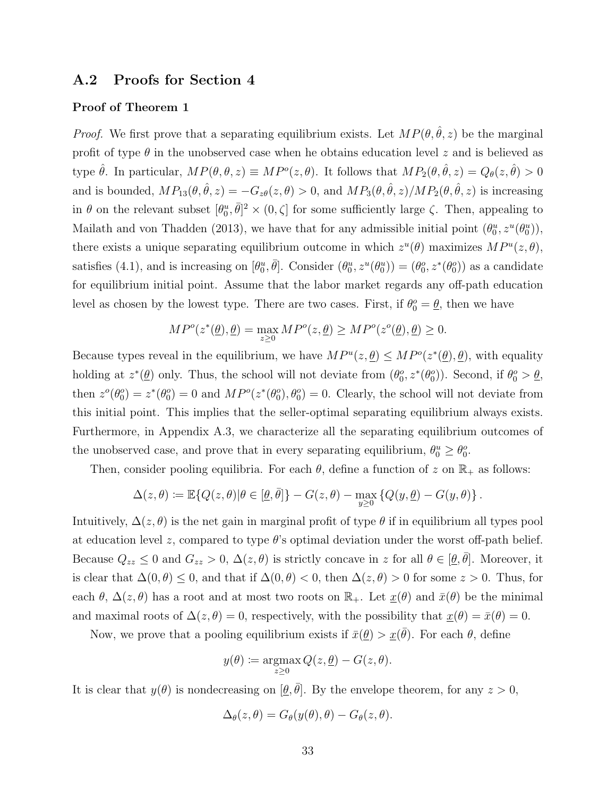### A.2 Proofs for Section 4

#### Proof of Theorem 1

*Proof.* We first prove that a separating equilibrium exists. Let  $MP(\theta, \hat{\theta}, z)$  be the marginal profit of type  $\theta$  in the unobserved case when he obtains education level z and is believed as type  $\hat{\theta}$ . In particular,  $MP(\theta, \theta, z) \equiv MP^o(z, \theta)$ . It follows that  $MP_2(\theta, \hat{\theta}, z) = Q_{\theta}(z, \hat{\theta}) > 0$ and is bounded,  $MP_{13}(\theta, \hat{\theta}, z) = -G_{z\theta}(z, \theta) > 0$ , and  $MP_3(\theta, \hat{\theta}, z)/MP_2(\theta, \hat{\theta}, z)$  is increasing in  $\theta$  on the relevant subset  $[\theta_0^u, \bar{\theta}]^2 \times (0, \zeta]$  for some sufficiently large  $\zeta$ . Then, appealing to Mailath and von Thadden (2013), we have that for any admissible initial point  $(\theta_0^u, z^u(\theta_0^u))$ , there exists a unique separating equilibrium outcome in which  $z^u(\theta)$  maximizes  $MP^u(z, \theta)$ , satisfies (4.1), and is increasing on  $[\theta_0^u, \bar{\theta}]$ . Consider  $(\theta_0^u, z^u(\theta_0^u)) = (\theta_0^o, z^*(\theta_0^o))$  as a candidate for equilibrium initial point. Assume that the labor market regards any off-path education level as chosen by the lowest type. There are two cases. First, if  $\theta_0^o = \underline{\theta}$ , then we have

$$
MP^o(z^*(\underline{\theta}),\underline{\theta})=\max_{z\geq 0}MP^o(z,\underline{\theta})\geq MP^o(z^o(\underline{\theta}),\underline{\theta})\geq 0.
$$

Because types reveal in the equilibrium, we have  $MP^u(z, \underline{\theta}) \leq MP^o(z^*(\underline{\theta}), \underline{\theta})$ , with equality holding at  $z^*(\underline{\theta})$  only. Thus, the school will not deviate from  $(\theta_0^o, z^*(\theta_0^o))$ . Second, if  $\theta_0^o > \underline{\theta}$ , then  $z^o(\theta_0^o) = z^*(\theta_0^o) = 0$  and  $MP^o(z^*(\theta_0^o), \theta_0^o) = 0$ . Clearly, the school will not deviate from this initial point. This implies that the seller-optimal separating equilibrium always exists. Furthermore, in Appendix A.3, we characterize all the separating equilibrium outcomes of the unobserved case, and prove that in every separating equilibrium,  $\theta_0^u \ge \theta_0^o$ .

Then, consider pooling equilibria. For each  $\theta$ , define a function of z on  $\mathbb{R}_+$  as follows:

$$
\Delta(z,\theta) \coloneqq \mathbb{E}\{Q(z,\theta)|\theta\in [\underline{\theta},\bar{\theta}]\} - G(z,\theta) - \max_{y\geq 0}\left\{Q(y,\underline{\theta}) - G(y,\theta)\right\}.
$$

Intuitively,  $\Delta(z,\theta)$  is the net gain in marginal profit of type  $\theta$  if in equilibrium all types pool at education level z, compared to type  $\theta$ 's optimal deviation under the worst off-path belief. Because  $Q_{zz} \leq 0$  and  $G_{zz} > 0$ ,  $\Delta(z, \theta)$  is strictly concave in z for all  $\theta \in [\theta, \bar{\theta}]$ . Moreover, it is clear that  $\Delta(0, \theta) \leq 0$ , and that if  $\Delta(0, \theta) < 0$ , then  $\Delta(z, \theta) > 0$  for some  $z > 0$ . Thus, for each  $\theta$ ,  $\Delta(z,\theta)$  has a root and at most two roots on  $\mathbb{R}_+$ . Let  $\underline{x}(\theta)$  and  $\overline{x}(\theta)$  be the minimal and maximal roots of  $\Delta(z, \theta) = 0$ , respectively, with the possibility that  $\underline{x}(\theta) = \overline{x}(\theta) = 0$ .

Now, we prove that a pooling equilibrium exists if  $\bar{x}(\underline{\theta}) > \underline{x}(\bar{\theta})$ . For each  $\theta$ , define

$$
y(\theta) \coloneqq \operatorname*{argmax}_{z \ge 0} Q(z, \underline{\theta}) - G(z, \theta).
$$

It is clear that  $y(\theta)$  is nondecreasing on  $[\underline{\theta}, \overline{\theta}]$ . By the envelope theorem, for any  $z > 0$ ,

$$
\Delta_{\theta}(z,\theta) = G_{\theta}(y(\theta),\theta) - G_{\theta}(z,\theta).
$$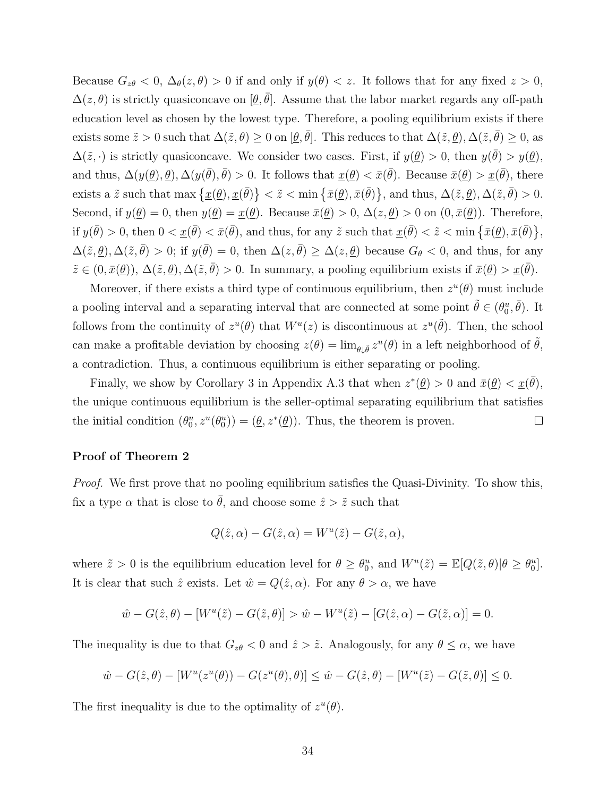Because  $G_{z\theta} < 0$ ,  $\Delta_{\theta}(z,\theta) > 0$  if and only if  $y(\theta) < z$ . It follows that for any fixed  $z > 0$ ,  $\Delta(z,\theta)$  is strictly quasiconcave on  $[\underline{\theta},\overline{\theta}]$ . Assume that the labor market regards any off-path education level as chosen by the lowest type. Therefore, a pooling equilibrium exists if there exists some  $\tilde{z} > 0$  such that  $\Delta(\tilde{z}, \theta) \ge 0$  on  $[\theta, \bar{\theta}]$ . This reduces to that  $\Delta(\tilde{z}, \theta), \Delta(\tilde{z}, \bar{\theta}) \ge 0$ , as  $\Delta(\tilde{z},\cdot)$  is strictly quasiconcave. We consider two cases. First, if  $y(\underline{\theta}) > 0$ , then  $y(\overline{\theta}) > y(\underline{\theta})$ , and thus,  $\Delta(y(\underline{\theta}), \underline{\theta}), \Delta(y(\overline{\theta}), \overline{\theta}) > 0$ . It follows that  $\underline{x}(\underline{\theta}) < \overline{x}(\overline{\theta})$ . Because  $\overline{x}(\underline{\theta}) > \underline{x}(\overline{\theta})$ , there exists a  $\tilde{z}$  such that max  $\{\underline{x}(\theta), \underline{x}(\bar{\theta})\} < \tilde{z} < \min{\{\bar{x}(\theta), \bar{x}(\bar{\theta})\}}$ , and thus,  $\Delta(\tilde{z}, \theta), \Delta(\tilde{z}, \bar{\theta}) > 0$ . Second, if  $y(\underline{\theta}) = 0$ , then  $y(\underline{\theta}) = \underline{x}(\underline{\theta})$ . Because  $\overline{x}(\underline{\theta}) > 0$ ,  $\Delta(z, \underline{\theta}) > 0$  on  $(0, \overline{x}(\underline{\theta}))$ . Therefore, if  $y(\bar{\theta}) > 0$ , then  $0 < \underline{x}(\bar{\theta}) < \bar{x}(\bar{\theta})$ , and thus, for any  $\tilde{z}$  such that  $\underline{x}(\bar{\theta}) < \tilde{z} < \min{\{\bar{x}(\underline{\theta}), \bar{x}(\bar{\theta})\}}$ ,  $\Delta(\tilde{z}, \underline{\theta}), \Delta(\tilde{z}, \bar{\theta}) > 0$ ; if  $y(\bar{\theta}) = 0$ , then  $\Delta(z, \bar{\theta}) \geq \Delta(z, \underline{\theta})$  because  $G_{\theta} < 0$ , and thus, for any  $\tilde{z} \in (0, \bar{x}(\underline{\theta}))$ ,  $\Delta(\tilde{z}, \underline{\theta})$ ,  $\Delta(\tilde{z}, \bar{\theta}) > 0$ . In summary, a pooling equilibrium exists if  $\bar{x}(\underline{\theta}) > \underline{x}(\bar{\theta})$ .

Moreover, if there exists a third type of continuous equilibrium, then  $z^u(\theta)$  must include a pooling interval and a separating interval that are connected at some point  $\tilde{\theta} \in (\theta_0^u, \bar{\theta})$ . It follows from the continuity of  $z^u(\theta)$  that  $W^u(z)$  is discontinuous at  $z^u(\tilde{\theta})$ . Then, the school can make a profitable deviation by choosing  $z(\theta) = \lim_{\theta \downarrow \tilde{\theta}} z^u(\theta)$  in a left neighborhood of  $\tilde{\theta}$ , a contradiction. Thus, a continuous equilibrium is either separating or pooling.

Finally, we show by Corollary 3 in Appendix A.3 that when  $z^*(\underline{\theta}) > 0$  and  $\bar{x}(\underline{\theta}) < \underline{x}(\bar{\theta})$ , the unique continuous equilibrium is the seller-optimal separating equilibrium that satisfies the initial condition  $(\theta_0^u, z^u(\theta_0^u)) = (\underline{\theta}, z^*(\underline{\theta}))$ . Thus, the theorem is proven.  $\Box$ 

#### Proof of Theorem 2

Proof. We first prove that no pooling equilibrium satisfies the Quasi-Divinity. To show this, fix a type  $\alpha$  that is close to  $\bar{\theta}$ , and choose some  $\hat{z} > \tilde{z}$  such that

$$
Q(\hat{z}, \alpha) - G(\hat{z}, \alpha) = W^u(\tilde{z}) - G(\tilde{z}, \alpha),
$$

where  $\tilde{z} > 0$  is the equilibrium education level for  $\theta \ge \theta_0^u$ , and  $W^u(\tilde{z}) = \mathbb{E}[Q(\tilde{z}, \theta)|\theta \ge \theta_0^u]$ . It is clear that such  $\hat{z}$  exists. Let  $\hat{w} = Q(\hat{z}, \alpha)$ . For any  $\theta > \alpha$ , we have

$$
\hat{w} - G(\hat{z}, \theta) - [W^u(\tilde{z}) - G(\tilde{z}, \theta)] > \hat{w} - W^u(\tilde{z}) - [G(\hat{z}, \alpha) - G(\tilde{z}, \alpha)] = 0.
$$

The inequality is due to that  $G_{z\theta} < 0$  and  $\hat{z} > \tilde{z}$ . Analogously, for any  $\theta \leq \alpha$ , we have

$$
\hat{w} - G(\hat{z}, \theta) - [W^u(z^u(\theta)) - G(z^u(\theta), \theta)] \le \hat{w} - G(\hat{z}, \theta) - [W^u(\tilde{z}) - G(\tilde{z}, \theta)] \le 0.
$$

The first inequality is due to the optimality of  $z^u(\theta)$ .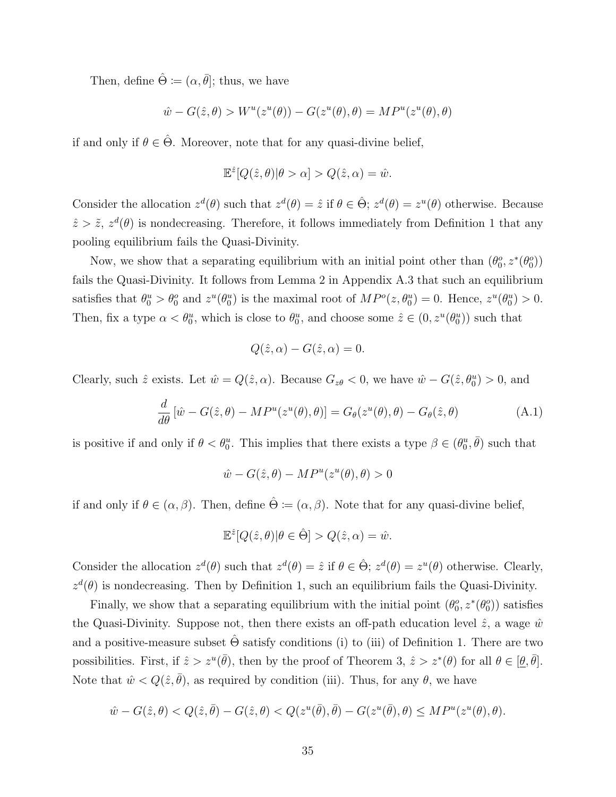Then, define  $\hat{\Theta} := (\alpha, \bar{\theta}]$ ; thus, we have

$$
\hat{w} - G(\hat{z}, \theta) > W^u(z^u(\theta)) - G(z^u(\theta), \theta) = MP^u(z^u(\theta), \theta)
$$

if and only if  $\theta \in \hat{\Theta}$ . Moreover, note that for any quasi-divine belief,

$$
\mathbb{E}^{\hat{z}}[Q(\hat{z},\theta)|\theta > \alpha] > Q(\hat{z},\alpha) = \hat{w}.
$$

Consider the allocation  $z^d(\theta)$  such that  $z^d(\theta) = \hat{z}$  if  $\theta \in \hat{\Theta}$ ;  $z^d(\theta) = z^u(\theta)$  otherwise. Because  $\hat{z} > \tilde{z}$ ,  $z^d(\theta)$  is nondecreasing. Therefore, it follows immediately from Definition 1 that any pooling equilibrium fails the Quasi-Divinity.

Now, we show that a separating equilibrium with an initial point other than  $(\theta_0^o, z^*(\theta_0^o))$ fails the Quasi-Divinity. It follows from Lemma 2 in Appendix A.3 that such an equilibrium satisfies that  $\theta_0^u > \theta_0^o$  and  $z^u(\theta_0^u)$  is the maximal root of  $MP^o(z, \theta_0^u) = 0$ . Hence,  $z^u(\theta_0^u) > 0$ . Then, fix a type  $\alpha < \theta_0^u$ , which is close to  $\theta_0^u$ , and choose some  $\hat{z} \in (0, z^u(\theta_0^u))$  such that

$$
Q(\hat{z}, \alpha) - G(\hat{z}, \alpha) = 0.
$$

Clearly, such  $\hat{z}$  exists. Let  $\hat{w} = Q(\hat{z}, \alpha)$ . Because  $G_{z\theta} < 0$ , we have  $\hat{w} - G(\hat{z}, \theta_0^u) > 0$ , and

$$
\frac{d}{d\theta} \left[ \hat{w} - G(\hat{z}, \theta) - M P^u(z^u(\theta), \theta) \right] = G_{\theta}(z^u(\theta), \theta) - G_{\theta}(\hat{z}, \theta)
$$
\n(A.1)

is positive if and only if  $\theta < \theta_0^u$ . This implies that there exists a type  $\beta \in (\theta_0^u, \overline{\theta})$  such that

$$
\hat{w} - G(\hat{z}, \theta) - MP^u(z^u(\theta), \theta) > 0
$$

if and only if  $\theta \in (\alpha, \beta)$ . Then, define  $\hat{\Theta} := (\alpha, \beta)$ . Note that for any quasi-divine belief,

$$
\mathbb{E}^{\hat{z}}[Q(\hat{z},\theta)|\theta \in \hat{\Theta}] > Q(\hat{z},\alpha) = \hat{w}.
$$

Consider the allocation  $z^d(\theta)$  such that  $z^d(\theta) = \hat{z}$  if  $\theta \in \hat{\Theta}$ ;  $z^d(\theta) = z^u(\theta)$  otherwise. Clearly,  $z^d(\theta)$  is nondecreasing. Then by Definition 1, such an equilibrium fails the Quasi-Divinity.

Finally, we show that a separating equilibrium with the initial point  $(\theta_0^o, z^*(\theta_0^o))$  satisfies the Quasi-Divinity. Suppose not, then there exists an off-path education level  $\hat{z}$ , a wage  $\hat{w}$ and a positive-measure subset  $\hat{\Theta}$  satisfy conditions (i) to (iii) of Definition 1. There are two possibilities. First, if  $\hat{z} > z^u(\bar{\theta})$ , then by the proof of Theorem 3,  $\hat{z} > z^*(\theta)$  for all  $\theta \in [\underline{\theta}, \bar{\theta}]$ . Note that  $\hat{w} < Q(\hat{z}, \bar{\theta})$ , as required by condition (iii). Thus, for any  $\theta$ , we have

$$
\hat{w} - G(\hat{z}, \theta) < Q(\hat{z}, \bar{\theta}) - G(\hat{z}, \theta) < Q(z^u(\bar{\theta}), \bar{\theta}) - G(z^u(\bar{\theta}), \theta) \leq MP^u(z^u(\theta), \theta).
$$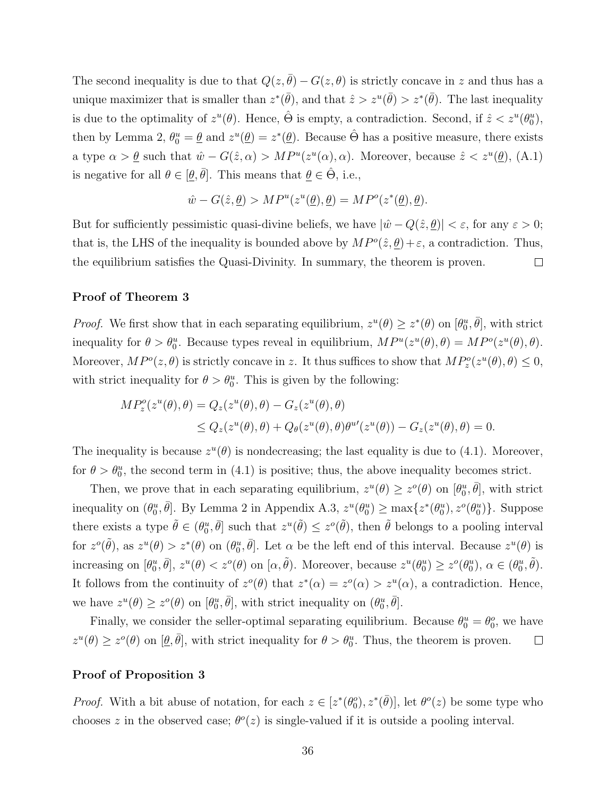The second inequality is due to that  $Q(z, \bar{\theta}) - G(z, \theta)$  is strictly concave in z and thus has a unique maximizer that is smaller than  $z^*(\bar{\theta})$ , and that  $\hat{z} > z^u(\bar{\theta}) > z^*(\bar{\theta})$ . The last inequality is due to the optimality of  $z^u(\theta)$ . Hence,  $\hat{\Theta}$  is empty, a contradiction. Second, if  $\hat{z} < z^u(\theta_0^u)$ , then by Lemma 2,  $\theta_0^u = \underline{\theta}$  and  $z^u(\underline{\theta}) = z^*(\underline{\theta})$ . Because  $\hat{\Theta}$  has a positive measure, there exists a type  $\alpha > \underline{\theta}$  such that  $\hat{w} - G(\hat{z}, \alpha) > MP^u(z^u(\alpha), \alpha)$ . Moreover, because  $\hat{z} < z^u(\underline{\theta})$ , (A.1) is negative for all  $\theta \in [\underline{\theta}, \overline{\theta}]$ . This means that  $\underline{\theta} \in \hat{\Theta}$ , i.e.,

$$
\hat{w} - G(\hat{z}, \underline{\theta}) > MP^u(z^u(\underline{\theta}), \underline{\theta}) = MP^o(z^*(\underline{\theta}), \underline{\theta}).
$$

But for sufficiently pessimistic quasi-divine beliefs, we have  $|\hat{w} - Q(\hat{z}, \underline{\theta})| < \varepsilon$ , for any  $\varepsilon > 0$ ; that is, the LHS of the inequality is bounded above by  $MP^o(\hat{z}, \underline{\theta}) + \varepsilon$ , a contradiction. Thus, the equilibrium satisfies the Quasi-Divinity. In summary, the theorem is proven.  $\Box$ 

#### Proof of Theorem 3

*Proof.* We first show that in each separating equilibrium,  $z^u(\theta) \geq z^*(\theta)$  on  $[\theta_0^u, \bar{\theta}]$ , with strict inequality for  $\theta > \theta_0^u$ . Because types reveal in equilibrium,  $MP^u(z^u(\theta), \theta) = MP^o(z^u(\theta), \theta)$ . Moreover,  $MP^o(z, \theta)$  is strictly concave in z. It thus suffices to show that  $MP_z^o(z^u(\theta), \theta) \leq 0$ , with strict inequality for  $\theta > \theta_0^u$ . This is given by the following:

$$
MP_z^o(z^u(\theta), \theta) = Q_z(z^u(\theta), \theta) - G_z(z^u(\theta), \theta)
$$
  
 
$$
\leq Q_z(z^u(\theta), \theta) + Q_\theta(z^u(\theta), \theta)\theta^{u\prime}(z^u(\theta)) - G_z(z^u(\theta), \theta) = 0.
$$

The inequality is because  $z^u(\theta)$  is nondecreasing; the last equality is due to (4.1). Moreover, for  $\theta > \theta_0^u$ , the second term in (4.1) is positive; thus, the above inequality becomes strict.

Then, we prove that in each separating equilibrium,  $z^u(\theta) \geq z^o(\theta)$  on  $[\theta_0^u, \bar{\theta}]$ , with strict inequality on  $(\theta_0^u, \bar{\theta}]$ . By Lemma 2 in Appendix A.3,  $z^u(\theta_0^u) \ge \max\{z^*(\theta_0^u), z^o(\theta_0^u)\}\.$  Suppose there exists a type  $\tilde{\theta} \in (\theta_0^u, \bar{\theta}]$  such that  $z^u(\tilde{\theta}) \leq z^o(\tilde{\theta})$ , then  $\tilde{\theta}$  belongs to a pooling interval for  $z^{\sigma}(\tilde{\theta})$ , as  $z^u(\theta) > z^*(\theta)$  on  $(\theta_0^u, \bar{\theta}]$ . Let  $\alpha$  be the left end of this interval. Because  $z^u(\theta)$  is increasing on  $[\theta_0^u, \bar{\theta}], z^u(\theta) < z^o(\theta)$  on  $[\alpha, \tilde{\theta}).$  Moreover, because  $z^u(\theta_0^u) \geq z^o(\theta_0^u), \alpha \in (\theta_0^u, \tilde{\theta}).$ It follows from the continuity of  $z^{\circ}(\theta)$  that  $z^{\ast}(\alpha) = z^{\circ}(\alpha) > z^{\mu}(\alpha)$ , a contradiction. Hence, we have  $z^u(\theta) \ge z^o(\theta)$  on  $[\theta_0^u, \bar{\theta}],$  with strict inequality on  $(\theta_0^u, \bar{\theta}].$ 

Finally, we consider the seller-optimal separating equilibrium. Because  $\theta_0^u = \theta_0^o$ , we have  $z^u(\theta) \ge z^o(\theta)$  on  $[\theta, \bar{\theta}]$ , with strict inequality for  $\theta > \theta_0^u$ . Thus, the theorem is proven.  $\Box$ 

#### Proof of Proposition 3

*Proof.* With a bit abuse of notation, for each  $z \in [z^*(\theta_0^o), z^*(\bar{\theta})]$ , let  $\theta^o(z)$  be some type who chooses z in the observed case;  $\theta^o(z)$  is single-valued if it is outside a pooling interval.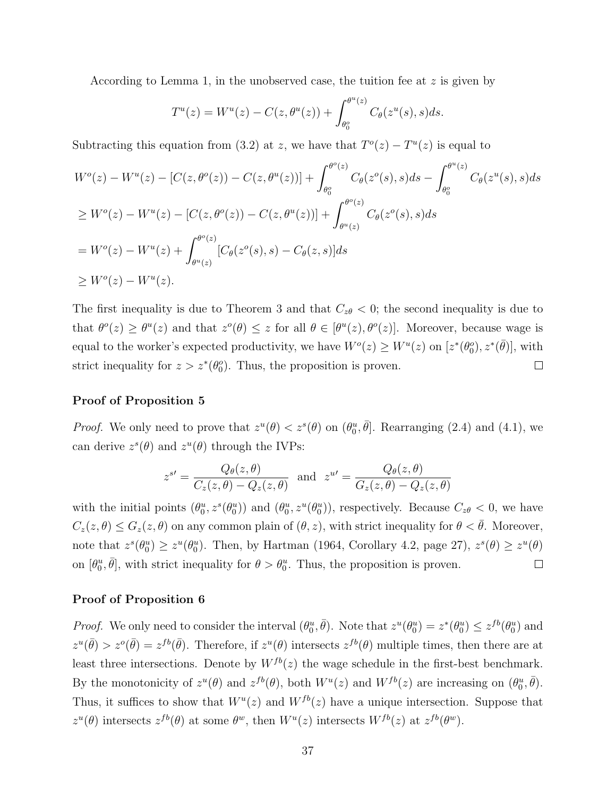According to Lemma 1, in the unobserved case, the tuition fee at  $z$  is given by

$$
T^{u}(z) = W^{u}(z) - C(z, \theta^{u}(z)) + \int_{\theta_{0}^{o}}^{\theta^{u}(z)} C_{\theta}(z^{u}(s), s) ds.
$$

Subtracting this equation from (3.2) at z, we have that  $T<sup>o</sup>(z) - T<sup>u</sup>(z)$  is equal to

$$
W^{o}(z) - W^{u}(z) - [C(z, \theta^{o}(z)) - C(z, \theta^{u}(z))] + \int_{\theta_{0}^{o}}^{\theta^{o}(z)} C_{\theta}(z^{o}(s), s)ds - \int_{\theta_{0}^{o}}^{\theta^{u}(z)} C_{\theta}(z^{u}(s), s)ds
$$
  
\n
$$
\geq W^{o}(z) - W^{u}(z) - [C(z, \theta^{o}(z)) - C(z, \theta^{u}(z))] + \int_{\theta^{u}(z)}^{\theta^{o}(z)} C_{\theta}(z^{o}(s), s)ds
$$
  
\n
$$
= W^{o}(z) - W^{u}(z) + \int_{\theta^{u}(z)}^{\theta^{o}(z)} [C_{\theta}(z^{o}(s), s) - C_{\theta}(z, s)]ds
$$
  
\n
$$
\geq W^{o}(z) - W^{u}(z).
$$

The first inequality is due to Theorem 3 and that  $C_{z\theta} < 0$ ; the second inequality is due to that  $\theta^o(z) \geq \theta^u(z)$  and that  $z^o(\theta) \leq z$  for all  $\theta \in [\theta^u(z), \theta^o(z)]$ . Moreover, because wage is equal to the worker's expected productivity, we have  $W^o(z) \ge W^u(z)$  on  $[z^*(\theta_0^o), z^*(\bar{\theta})]$ , with strict inequality for  $z > z^*(\theta_0^o)$ . Thus, the proposition is proven.  $\Box$ 

#### Proof of Proposition 5

*Proof.* We only need to prove that  $z^u(\theta) < z^s(\theta)$  on  $(\theta_0^u, \bar{\theta}]$ . Rearranging (2.4) and (4.1), we can derive  $z^s(\theta)$  and  $z^u(\theta)$  through the IVPs:

$$
z^{s'} = \frac{Q_{\theta}(z,\theta)}{C_z(z,\theta) - Q_z(z,\theta)} \quad \text{and} \quad z^{u'} = \frac{Q_{\theta}(z,\theta)}{G_z(z,\theta) - Q_z(z,\theta)}
$$

with the initial points  $(\theta_0^u, z^s(\theta_0^u))$  and  $(\theta_0^u, z^u(\theta_0^u))$ , respectively. Because  $C_{z\theta} < 0$ , we have  $C_z(z,\theta) \leq G_z(z,\theta)$  on any common plain of  $(\theta, z)$ , with strict inequality for  $\theta < \bar{\theta}$ . Moreover, note that  $z^s(\theta_0^u) \ge z^u(\theta_0^u)$ . Then, by Hartman (1964, Corollary 4.2, page 27),  $z^s(\theta) \ge z^u(\theta)$ on  $[\theta_0^u, \bar{\theta}]$ , with strict inequality for  $\theta > \theta_0^u$ . Thus, the proposition is proven.  $\Box$ 

#### Proof of Proposition 6

*Proof.* We only need to consider the interval  $(\theta_0^u, \bar{\theta})$ . Note that  $z^u(\theta_0^u) = z^*(\theta_0^u) \leq z^{fb}(\theta_0^u)$  and  $z^u(\bar{\theta}) > z^o(\bar{\theta}) = z^{fb}(\bar{\theta})$ . Therefore, if  $z^u(\theta)$  intersects  $z^{fb}(\theta)$  multiple times, then there are at least three intersections. Denote by  $W^{fb}(z)$  the wage schedule in the first-best benchmark. By the monotonicity of  $z^u(\theta)$  and  $z^{fb}(\theta)$ , both  $W^u(z)$  and  $W^{fb}(z)$  are increasing on  $(\theta_0^u, \bar{\theta})$ . Thus, it suffices to show that  $W^u(z)$  and  $W^{fb}(z)$  have a unique intersection. Suppose that  $z^u(\theta)$  intersects  $z^{fb}(\theta)$  at some  $\theta^w$ , then  $W^u(z)$  intersects  $W^{fb}(z)$  at  $z^{fb}(\theta^w)$ .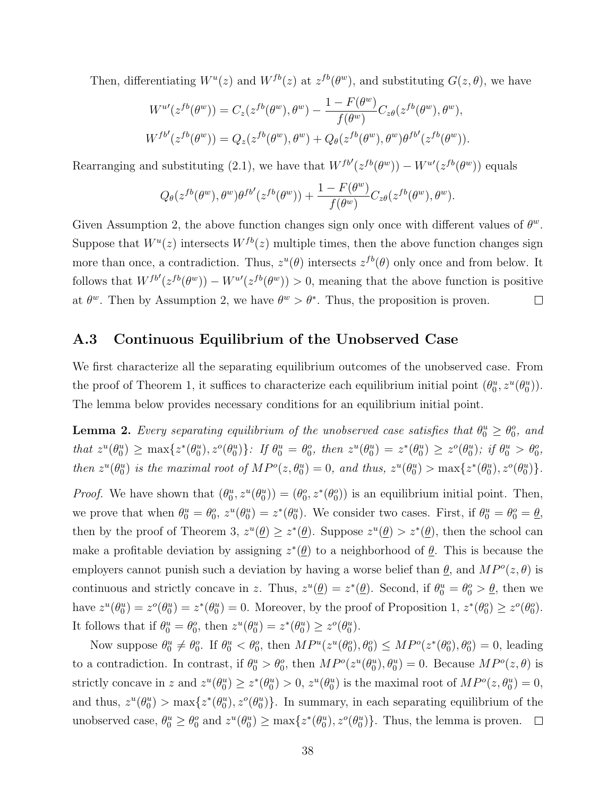Then, differentiating  $W^u(z)$  and  $W^{fb}(z)$  at  $z^{fb}(\theta^w)$ , and substituting  $G(z, \theta)$ , we have

$$
W^{u\prime}(z^{fb}(\theta^w)) = C_z(z^{fb}(\theta^w), \theta^w) - \frac{1 - F(\theta^w)}{f(\theta^w)} C_{z\theta}(z^{fb}(\theta^w), \theta^w),
$$
  

$$
W^{fb\prime}(z^{fb}(\theta^w)) = Q_z(z^{fb}(\theta^w), \theta^w) + Q_\theta(z^{fb}(\theta^w), \theta^w)\theta^{fb\prime}(z^{fb}(\theta^w)).
$$

Rearranging and substituting (2.1), we have that  $W^{fb'}(z^{fb}(\theta^w)) - W^{u'}(z^{fb}(\theta^w))$  equals

$$
Q_{\theta}(z^{fb}(\theta^w), \theta^w)\theta^{fb'}(z^{fb}(\theta^w)) + \frac{1 - F(\theta^w)}{f(\theta^w)}C_{z\theta}(z^{fb}(\theta^w), \theta^w).
$$

Given Assumption 2, the above function changes sign only once with different values of  $\theta^w$ . Suppose that  $W^u(z)$  intersects  $W^{fb}(z)$  multiple times, then the above function changes sign more than once, a contradiction. Thus,  $z^u(\theta)$  intersects  $z^{fb}(\theta)$  only once and from below. It follows that  $W^{fb'}(z^{fb}(\theta^w)) - W^{u'}(z^{fb}(\theta^w)) > 0$ , meaning that the above function is positive at  $\theta^w$ . Then by Assumption 2, we have  $\theta^w > \theta^*$ . Thus, the proposition is proven.  $\Box$ 

### A.3 Continuous Equilibrium of the Unobserved Case

We first characterize all the separating equilibrium outcomes of the unobserved case. From the proof of Theorem 1, it suffices to characterize each equilibrium initial point  $(\theta_0^u, z^u(\theta_0^u))$ . The lemma below provides necessary conditions for an equilibrium initial point.

**Lemma 2.** Every separating equilibrium of the unobserved case satisfies that  $\theta_0^u \ge \theta_0^o$ , and that  $z^u(\theta_0^u) \ge \max\{z^*(\theta_0^u), z^o(\theta_0^u)\}$ : If  $\theta_0^u = \theta_0^o$ , then  $z^u(\theta_0^u) = z^*(\theta_0^u) \ge z^o(\theta_0^u)$ ; if  $\theta_0^u > \theta_0^o$ , then  $z^u(\theta_0^u)$  is the maximal root of  $MP^o(z, \theta_0^u) = 0$ , and thus,  $z^u(\theta_0^u) > \max\{z^*(\theta_0^u), z^o(\theta_0^u)\}.$ 

*Proof.* We have shown that  $(\theta_0^u, z^u(\theta_0^u)) = (\theta_0^o, z^*(\theta_0^o))$  is an equilibrium initial point. Then, we prove that when  $\theta_0^u = \theta_0^o$ ,  $z^u(\theta_0^u) = z^*(\theta_0^u)$ . We consider two cases. First, if  $\theta_0^u = \theta_0^o = \underline{\theta}$ , then by the proof of Theorem 3,  $z^u(\underline{\theta}) \geq z^*(\underline{\theta})$ . Suppose  $z^u(\underline{\theta}) > z^*(\underline{\theta})$ , then the school can make a profitable deviation by assigning  $z^*(\underline{\theta})$  to a neighborhood of  $\underline{\theta}$ . This is because the employers cannot punish such a deviation by having a worse belief than  $\theta$ , and  $MP^o(z, \theta)$  is continuous and strictly concave in z. Thus,  $z^u(\underline{\theta}) = z^*(\underline{\theta})$ . Second, if  $\theta_0^u = \theta_0^o > \underline{\theta}$ , then we have  $z^u(\theta_0^u) = z^o(\theta_0^u) = z^*(\theta_0^u) = 0$ . Moreover, by the proof of Proposition 1,  $z^*(\theta_0^o) \geq z^o(\theta_0^o)$ . It follows that if  $\theta_0^u = \theta_0^o$ , then  $z^u(\theta_0^u) = z^*(\theta_0^u) \ge z^o(\theta_0^u)$ .

Now suppose  $\theta_0^u \neq \theta_0^o$ . If  $\theta_0^u < \theta_0^o$ , then  $MP^u(z^u(\theta_0^o), \theta_0^o) \leq MP^o(z^*(\theta_0^o), \theta_0^o) = 0$ , leading to a contradiction. In contrast, if  $\theta_0^u > \theta_0^o$ , then  $MP^o(z^u(\theta_0^u), \theta_0^u) = 0$ . Because  $MP^o(z, \theta)$  is strictly concave in z and  $z^u(\theta_0^u) \ge z^*(\theta_0^u) > 0$ ,  $z^u(\theta_0^u)$  is the maximal root of  $MP^o(z, \theta_0^u) = 0$ , and thus,  $z^u(\theta_0^u) > \max\{z^*(\theta_0^u), z^o(\theta_0^u)\}\$ . In summary, in each separating equilibrium of the unobserved case,  $\theta_0^u \ge \theta_0^o$  and  $z^u(\theta_0^u) \ge \max\{z^*(\theta_0^u), z^o(\theta_0^u)\}\)$ . Thus, the lemma is proven.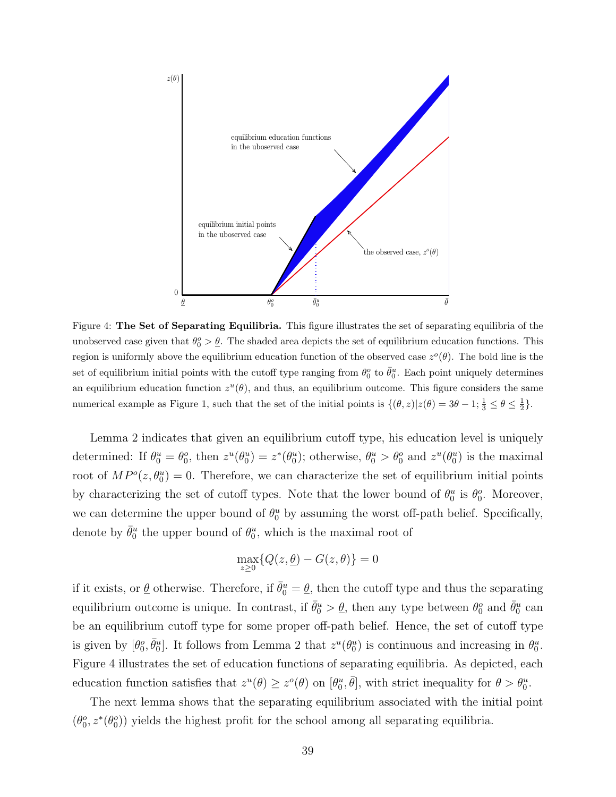

Figure 4: The Set of Separating Equilibria. This figure illustrates the set of separating equilibria of the unobserved case given that  $\theta_0^o > \underline{\theta}$ . The shaded area depicts the set of equilibrium education functions. This region is uniformly above the equilibrium education function of the observed case  $z^o(\theta)$ . The bold line is the set of equilibrium initial points with the cutoff type ranging from  $\theta_0^o$  to  $\bar{\theta}_0^u$ . Each point uniquely determines an equilibrium education function  $z^u(\theta)$ , and thus, an equilibrium outcome. This figure considers the same numerical example as Figure 1, such that the set of the initial points is  $\{(\theta, z)|z(\theta) = 3\theta - 1; \frac{1}{3} \le \theta \le \frac{1}{2}\}.$ 

Lemma 2 indicates that given an equilibrium cutoff type, his education level is uniquely determined: If  $\theta_0^u = \theta_0^o$ , then  $z^u(\theta_0^u) = z^*(\theta_0^u)$ ; otherwise,  $\theta_0^u > \theta_0^o$  and  $z^u(\theta_0^u)$  is the maximal root of  $MP^o(z, \theta_0^u) = 0$ . Therefore, we can characterize the set of equilibrium initial points by characterizing the set of cutoff types. Note that the lower bound of  $\theta_0^u$  is  $\theta_0^o$ . Moreover, we can determine the upper bound of  $\theta_0^u$  by assuming the worst off-path belief. Specifically, denote by  $\bar{\theta}^u_0$  the upper bound of  $\theta^u_0$ , which is the maximal root of

$$
\max_{z \ge 0} \{ Q(z, \underline{\theta}) - G(z, \theta) \} = 0
$$

if it exists, or  $\underline{\theta}$  otherwise. Therefore, if  $\bar{\theta}_0^u = \underline{\theta}$ , then the cutoff type and thus the separating equilibrium outcome is unique. In contrast, if  $\bar{\theta}_0^u > \underline{\theta}$ , then any type between  $\theta_0^o$  and  $\bar{\theta}_0^u$  can be an equilibrium cutoff type for some proper off-path belief. Hence, the set of cutoff type is given by  $[\theta_0^o, \bar{\theta}_0^u]$ . It follows from Lemma 2 that  $z^u(\theta_0^u)$  is continuous and increasing in  $\theta_0^u$ . Figure 4 illustrates the set of education functions of separating equilibria. As depicted, each education function satisfies that  $z^u(\theta) \geq z^o(\theta)$  on  $[\theta_0^u, \bar{\theta}]$ , with strict inequality for  $\theta > \theta_0^u$ .

The next lemma shows that the separating equilibrium associated with the initial point  $(\theta_0^o, z^*(\theta_0^o))$  yields the highest profit for the school among all separating equilibria.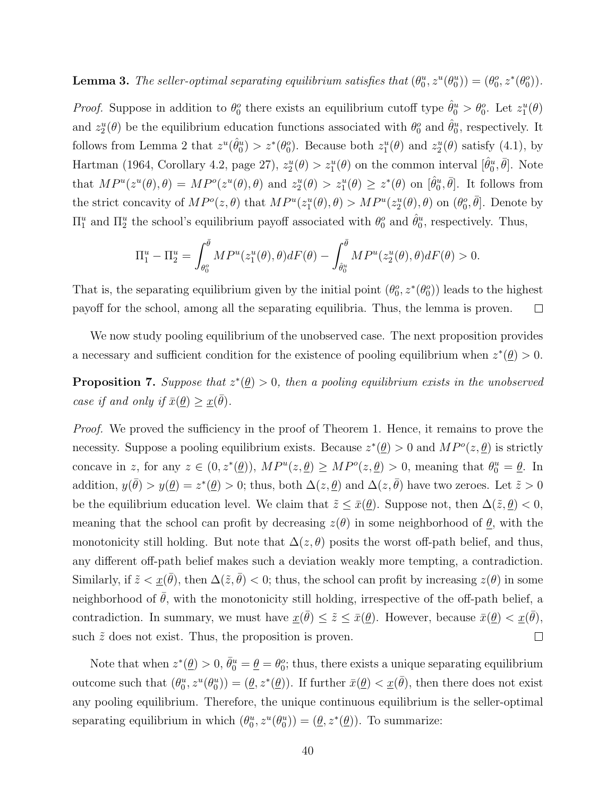## **Lemma 3.** The seller-optimal separating equilibrium satisfies that  $(\theta_0^u, z^u(\theta_0^u)) = (\theta_0^o, z^*(\theta_0^o))$ .

*Proof.* Suppose in addition to  $\theta_0^o$  there exists an equilibrium cutoff type  $\hat{\theta}_0^u > \theta_0^o$ . Let  $z_1^u(\theta)$ and  $z_2^u(\theta)$  be the equilibrium education functions associated with  $\theta_0^o$  and  $\hat{\theta}_0^u$ , respectively. It follows from Lemma 2 that  $z^u(\hat{\theta}_0^u) > z^*(\theta_0^o)$ . Because both  $z_1^u(\theta)$  and  $z_2^u(\theta)$  satisfy (4.1), by Hartman (1964, Corollary 4.2, page 27),  $z_2^u(\theta) > z_1^u(\theta)$  on the common interval  $[\hat{\theta}_0^u, \bar{\theta}]$ . Note that  $MP^u(z^u(\theta), \theta) = MP^o(z^u(\theta), \theta)$  and  $z_2^u(\theta) > z_1^u(\theta) \geq z^*(\theta)$  on  $[\hat{\theta}_0^u, \bar{\theta}]$ . It follows from the strict concavity of  $MP^o(z, \theta)$  that  $MP^u(z_1^u(\theta), \theta) > MP^u(z_2^u(\theta), \theta)$  on  $(\theta_0^o, \overline{\theta}]$ . Denote by  $\Pi_1^u$  and  $\Pi_2^u$  the school's equilibrium payoff associated with  $\theta_0^o$  and  $\hat{\theta}_0^u$ , respectively. Thus,

$$
\Pi_1^u-\Pi_2^u=\int_{\theta_0^o}^{\bar{\theta}}MP^u(z_1^u(\theta),\theta)dF(\theta)-\int_{\hat{\theta}_0^u}^{\bar{\theta}}MP^u(z_2^u(\theta),\theta)dF(\theta)>0.
$$

That is, the separating equilibrium given by the initial point  $(\theta_0^o, z^*(\theta_0^o))$  leads to the highest payoff for the school, among all the separating equilibria. Thus, the lemma is proven.  $\Box$ 

We now study pooling equilibrium of the unobserved case. The next proposition provides a necessary and sufficient condition for the existence of pooling equilibrium when  $z^*(\underline{\theta}) > 0$ .

**Proposition 7.** Suppose that  $z^*(\underline{\theta}) > 0$ , then a pooling equilibrium exists in the unobserved case if and only if  $\bar{x}(\underline{\theta}) \geq \underline{x}(\bar{\theta})$ .

Proof. We proved the sufficiency in the proof of Theorem 1. Hence, it remains to prove the necessity. Suppose a pooling equilibrium exists. Because  $z^*(\underline{\theta}) > 0$  and  $MP^o(z, \underline{\theta})$  is strictly concave in z, for any  $z \in (0, z^*(\underline{\theta}))$ ,  $MP^u(z, \underline{\theta}) \ge MP^o(z, \underline{\theta}) > 0$ , meaning that  $\theta_0^u = \underline{\theta}$ . In addition,  $y(\bar{\theta}) > y(\underline{\theta}) = z^*(\underline{\theta}) > 0$ ; thus, both  $\Delta(z, \underline{\theta})$  and  $\Delta(z, \bar{\theta})$  have two zeroes. Let  $\tilde{z} > 0$ be the equilibrium education level. We claim that  $\tilde{z} \leq \bar{x}(\underline{\theta})$ . Suppose not, then  $\Delta(\tilde{z}, \underline{\theta}) < 0$ , meaning that the school can profit by decreasing  $z(\theta)$  in some neighborhood of  $\theta$ , with the monotonicity still holding. But note that  $\Delta(z,\theta)$  posits the worst off-path belief, and thus, any different off-path belief makes such a deviation weakly more tempting, a contradiction. Similarly, if  $\tilde{z} < \underline{x}(\bar{\theta})$ , then  $\Delta(\tilde{z}, \bar{\theta}) < 0$ ; thus, the school can profit by increasing  $z(\theta)$  in some neighborhood of  $\bar{\theta}$ , with the monotonicity still holding, irrespective of the off-path belief, a contradiction. In summary, we must have  $\underline{x}(\bar{\theta}) \leq \tilde{z} \leq \bar{x}(\underline{\theta})$ . However, because  $\bar{x}(\underline{\theta}) < \underline{x}(\bar{\theta})$ , such  $\tilde{z}$  does not exist. Thus, the proposition is proven.  $\Box$ 

Note that when  $z^*(\underline{\theta}) > 0$ ,  $\bar{\theta}_0^u = \underline{\theta} = \theta_0^o$ ; thus, there exists a unique separating equilibrium outcome such that  $(\theta_0^u, z^u(\theta_0^u)) = (\underline{\theta}, z^*(\underline{\theta}))$ . If further  $\bar{x}(\underline{\theta}) < \underline{x}(\bar{\theta})$ , then there does not exist any pooling equilibrium. Therefore, the unique continuous equilibrium is the seller-optimal separating equilibrium in which  $(\theta_0^u, z^u(\theta_0^u)) = (\underline{\theta}, z^*(\underline{\theta}))$ . To summarize: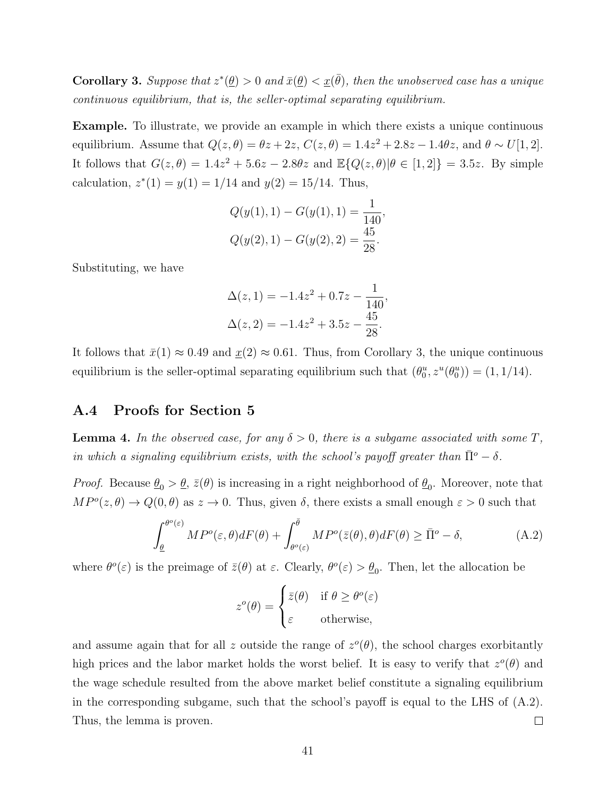**Corollary 3.** Suppose that  $z^*(\underline{\theta}) > 0$  and  $\bar{x}(\underline{\theta}) < \underline{x}(\bar{\theta})$ , then the unobserved case has a unique continuous equilibrium, that is, the seller-optimal separating equilibrium.

Example. To illustrate, we provide an example in which there exists a unique continuous equilibrium. Assume that  $Q(z, \theta) = \theta z + 2z$ ,  $C(z, \theta) = 1.4z^2 + 2.8z - 1.4\theta z$ , and  $\theta \sim U[1, 2]$ . It follows that  $G(z, \theta) = 1.4z^2 + 5.6z - 2.8\theta z$  and  $\mathbb{E}{Q(z, \theta)|\theta \in [1,2]} = 3.5z$ . By simple calculation,  $z^*(1) = y(1) = 1/14$  and  $y(2) = 15/14$ . Thus,

$$
Q(y(1), 1) - G(y(1), 1) = \frac{1}{140},
$$
  

$$
Q(y(2), 1) - G(y(2), 2) = \frac{45}{28}.
$$

Substituting, we have

$$
\Delta(z, 1) = -1.4z^2 + 0.7z - \frac{1}{140},
$$
  

$$
\Delta(z, 2) = -1.4z^2 + 3.5z - \frac{45}{28}.
$$

It follows that  $\bar{x}(1) \approx 0.49$  and  $\underline{x}(2) \approx 0.61$ . Thus, from Corollary 3, the unique continuous equilibrium is the seller-optimal separating equilibrium such that  $(\theta_0^u, z^u(\theta_0^u)) = (1, 1/14)$ .

### A.4 Proofs for Section 5

**Lemma 4.** In the observed case, for any  $\delta > 0$ , there is a subgame associated with some T, in which a signaling equilibrium exists, with the school's payoff greater than  $\bar{\Pi}^o - \delta$ .

*Proof.* Because  $\underline{\theta}_0 > \underline{\theta}$ ,  $\overline{z}(\theta)$  is increasing in a right neighborhood of  $\underline{\theta}_0$ . Moreover, note that  $MP^o(z, \theta) \to Q(0, \theta)$  as  $z \to 0$ . Thus, given  $\delta$ , there exists a small enough  $\varepsilon > 0$  such that

$$
\int_{\underline{\theta}}^{\theta^o(\varepsilon)} MP^o(\varepsilon, \theta) dF(\theta) + \int_{\theta^o(\varepsilon)}^{\overline{\theta}} MP^o(\overline{z}(\theta), \theta) dF(\theta) \geq \overline{\Pi}^o - \delta,
$$
\n(A.2)

where  $\theta^o(\varepsilon)$  is the preimage of  $\bar{z}(\theta)$  at  $\varepsilon$ . Clearly,  $\theta^o(\varepsilon) > \underline{\theta}_0$ . Then, let the allocation be

$$
z^{o}(\theta) = \begin{cases} \bar{z}(\theta) & \text{if } \theta \ge \theta^{o}(\varepsilon) \\ \varepsilon & \text{otherwise,} \end{cases}
$$

and assume again that for all z outside the range of  $z^{\circ}(\theta)$ , the school charges exorbitantly high prices and the labor market holds the worst belief. It is easy to verify that  $z^o(\theta)$  and the wage schedule resulted from the above market belief constitute a signaling equilibrium in the corresponding subgame, such that the school's payoff is equal to the LHS of (A.2). Thus, the lemma is proven.  $\Box$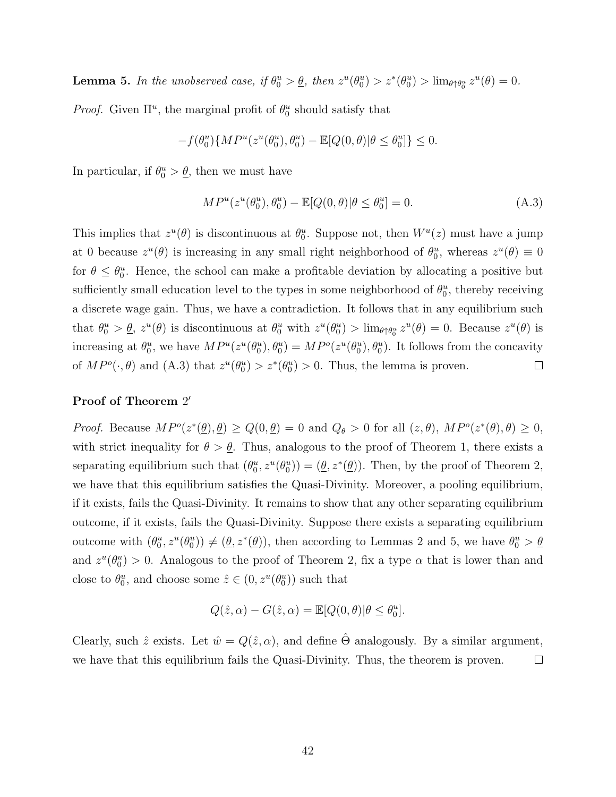**Lemma 5.** In the unobserved case, if  $\theta_0^u > \underline{\theta}$ , then  $z^u(\theta_0^u) > z^*(\theta_0^u) > \lim_{\theta \uparrow \theta_0^u} z^u(\theta) = 0$ .

*Proof.* Given  $\Pi^u$ , the marginal profit of  $\theta_0^u$  should satisfy that

$$
-f(\theta^u_0)\{MP^u(z^u(\theta^u_0),\theta^u_0)-\mathbb{E}[Q(0,\theta)|\theta\leq \theta^u_0]\}\leq 0.
$$

In particular, if  $\theta_0^u > \underline{\theta}$ , then we must have

$$
MP^{u}(z^{u}(\theta_0^u), \theta_0^u) - \mathbb{E}[Q(0, \theta)|\theta \le \theta_0^u] = 0.
$$
\n(A.3)

This implies that  $z^u(\theta)$  is discontinuous at  $\theta_0^u$ . Suppose not, then  $W^u(z)$  must have a jump at 0 because  $z^u(\theta)$  is increasing in any small right neighborhood of  $\theta_0^u$ , whereas  $z^u(\theta) \equiv 0$ for  $\theta \leq \theta_0^u$ . Hence, the school can make a profitable deviation by allocating a positive but sufficiently small education level to the types in some neighborhood of  $\theta_0^u$ , thereby receiving a discrete wage gain. Thus, we have a contradiction. It follows that in any equilibrium such that  $\theta_0^u > \underline{\theta}$ ,  $z^u(\theta)$  is discontinuous at  $\theta_0^u$  with  $z^u(\theta_0^u) > \lim_{\theta \uparrow \theta_0^u} z^u(\theta) = 0$ . Because  $z^u(\theta)$  is increasing at  $\theta_0^u$ , we have  $MP^u(z^u(\theta_0^u), \theta_0^u) = MP^o(z^u(\theta_0^u), \theta_0^u)$ . It follows from the concavity of  $MP^o(\cdot, \theta)$  and  $(A.3)$  that  $z^u(\theta_0^u) > z^*(\theta_0^u) > 0$ . Thus, the lemma is proven.  $\Box$ 

### Proof of Theorem 2'

Proof. Because  $MP^o(z^*(\underline{\theta}), \underline{\theta}) \ge Q(0, \underline{\theta}) = 0$  and  $Q_{\theta} > 0$  for all  $(z, \theta), MP^o(z^*(\theta), \theta) \ge 0$ , with strict inequality for  $\theta > \underline{\theta}$ . Thus, analogous to the proof of Theorem 1, there exists a separating equilibrium such that  $(\theta_0^u, z^u(\theta_0^u)) = (\underline{\theta}, z^*(\underline{\theta}))$ . Then, by the proof of Theorem 2, we have that this equilibrium satisfies the Quasi-Divinity. Moreover, a pooling equilibrium, if it exists, fails the Quasi-Divinity. It remains to show that any other separating equilibrium outcome, if it exists, fails the Quasi-Divinity. Suppose there exists a separating equilibrium outcome with  $(\theta_0^u, z^u(\theta_0^u)) \neq (\underline{\theta}, z^*(\underline{\theta}))$ , then according to Lemmas 2 and 5, we have  $\theta_0^u > \underline{\theta}$ and  $z^u(\theta_0^u) > 0$ . Analogous to the proof of Theorem 2, fix a type  $\alpha$  that is lower than and close to  $\theta_0^u$ , and choose some  $\hat{z} \in (0, z^u(\theta_0^u))$  such that

$$
Q(\hat{z}, \alpha) - G(\hat{z}, \alpha) = \mathbb{E}[Q(0, \theta)|\theta \le \theta_0^u].
$$

Clearly, such  $\hat{z}$  exists. Let  $\hat{w} = Q(\hat{z}, \alpha)$ , and define  $\hat{\Theta}$  analogously. By a similar argument, we have that this equilibrium fails the Quasi-Divinity. Thus, the theorem is proven.  $\Box$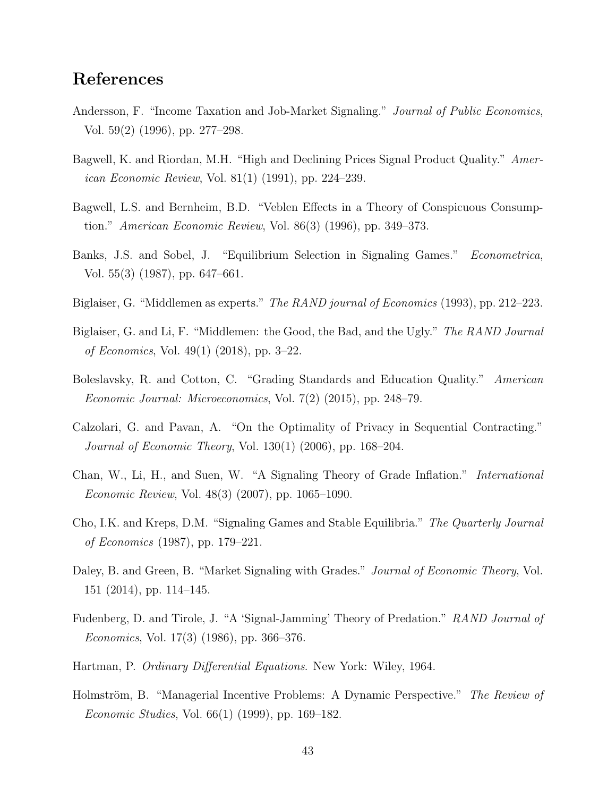## References

- Andersson, F. "Income Taxation and Job-Market Signaling." *Journal of Public Economics*, Vol. 59(2) (1996), pp. 277–298.
- Bagwell, K. and Riordan, M.H. "High and Declining Prices Signal Product Quality." American Economic Review, Vol. 81(1) (1991), pp. 224–239.
- Bagwell, L.S. and Bernheim, B.D. "Veblen Effects in a Theory of Conspicuous Consumption." American Economic Review, Vol. 86(3) (1996), pp. 349–373.
- Banks, J.S. and Sobel, J. "Equilibrium Selection in Signaling Games." Econometrica, Vol. 55(3) (1987), pp. 647–661.
- Biglaiser, G. "Middlemen as experts." *The RAND journal of Economics* (1993), pp. 212–223.
- Biglaiser, G. and Li, F. "Middlemen: the Good, the Bad, and the Ugly." The RAND Journal of Economics, Vol. 49(1) (2018), pp. 3–22.
- Boleslavsky, R. and Cotton, C. "Grading Standards and Education Quality." American Economic Journal: Microeconomics, Vol. 7(2) (2015), pp. 248–79.
- Calzolari, G. and Pavan, A. "On the Optimality of Privacy in Sequential Contracting." Journal of Economic Theory, Vol. 130(1) (2006), pp. 168–204.
- Chan, W., Li, H., and Suen, W. "A Signaling Theory of Grade Inflation." International Economic Review, Vol. 48(3) (2007), pp. 1065–1090.
- Cho, I.K. and Kreps, D.M. "Signaling Games and Stable Equilibria." The Quarterly Journal of Economics (1987), pp. 179–221.
- Daley, B. and Green, B. "Market Signaling with Grades." Journal of Economic Theory, Vol. 151 (2014), pp. 114–145.
- Fudenberg, D. and Tirole, J. "A 'Signal-Jamming' Theory of Predation." RAND Journal of Economics, Vol. 17(3) (1986), pp. 366–376.
- Hartman, P. Ordinary Differential Equations. New York: Wiley, 1964.
- Holmström, B. "Managerial Incentive Problems: A Dynamic Perspective." The Review of Economic Studies, Vol. 66(1) (1999), pp. 169–182.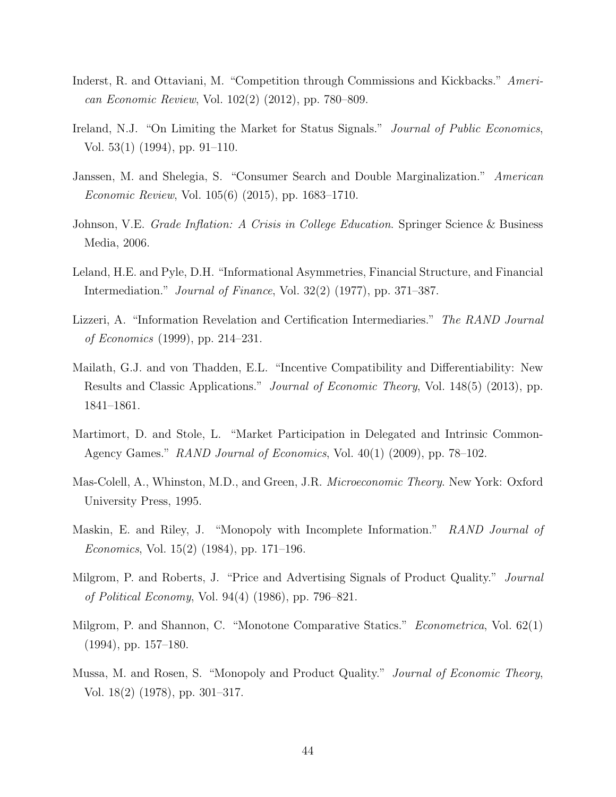- Inderst, R. and Ottaviani, M. "Competition through Commissions and Kickbacks." American Economic Review, Vol. 102(2) (2012), pp. 780–809.
- Ireland, N.J. "On Limiting the Market for Status Signals." *Journal of Public Economics*, Vol. 53(1) (1994), pp. 91–110.
- Janssen, M. and Shelegia, S. "Consumer Search and Double Marginalization." American Economic Review, Vol. 105(6) (2015), pp. 1683–1710.
- Johnson, V.E. Grade Inflation: A Crisis in College Education. Springer Science & Business Media, 2006.
- Leland, H.E. and Pyle, D.H. "Informational Asymmetries, Financial Structure, and Financial Intermediation." Journal of Finance, Vol. 32(2) (1977), pp. 371–387.
- Lizzeri, A. "Information Revelation and Certification Intermediaries." The RAND Journal of Economics (1999), pp. 214–231.
- Mailath, G.J. and von Thadden, E.L. "Incentive Compatibility and Differentiability: New Results and Classic Applications." *Journal of Economic Theory*, Vol. 148(5) (2013), pp. 1841–1861.
- Martimort, D. and Stole, L. "Market Participation in Delegated and Intrinsic Common-Agency Games." RAND Journal of Economics, Vol. 40(1) (2009), pp. 78–102.
- Mas-Colell, A., Whinston, M.D., and Green, J.R. Microeconomic Theory. New York: Oxford University Press, 1995.
- Maskin, E. and Riley, J. "Monopoly with Incomplete Information." RAND Journal of Economics, Vol. 15(2) (1984), pp. 171–196.
- Milgrom, P. and Roberts, J. "Price and Advertising Signals of Product Quality." *Journal* of Political Economy, Vol. 94(4) (1986), pp. 796–821.
- Milgrom, P. and Shannon, C. "Monotone Comparative Statics." *Econometrica*, Vol. 62(1) (1994), pp. 157–180.
- Mussa, M. and Rosen, S. "Monopoly and Product Quality." Journal of Economic Theory, Vol. 18(2) (1978), pp. 301–317.